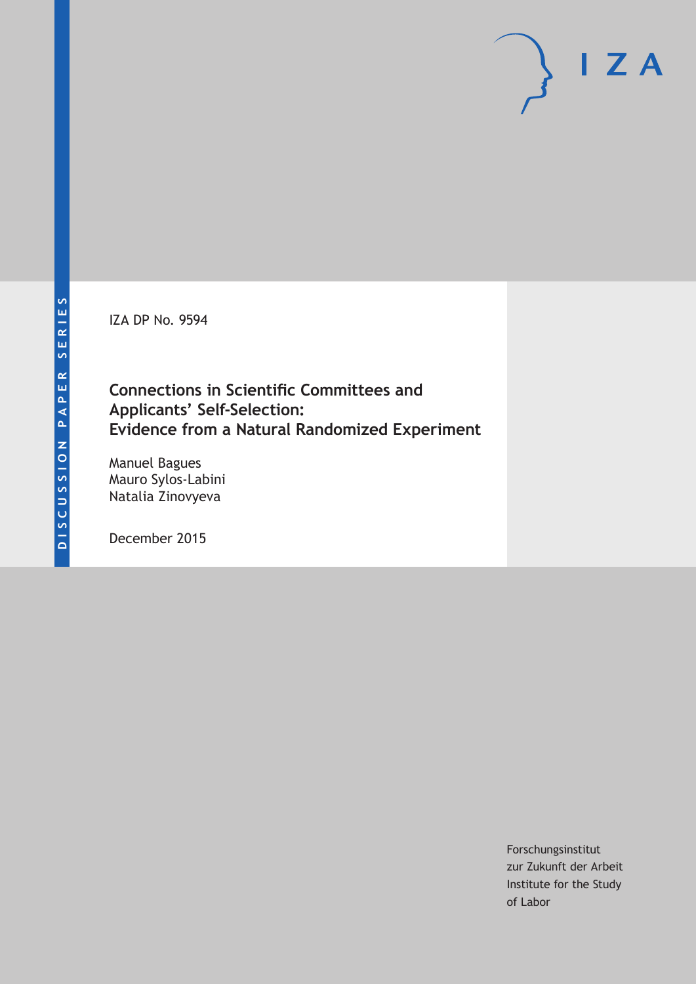IZA DP No. 9594

### **Connections in Scientific Committees and Applicants' Self-Selection: Evidence from a Natural Randomized Experiment**

Manuel Bagues Mauro Sylos-Labini Natalia Zinovyeva

December 2015

Forschungsinstitut zur Zukunft der Arbeit Institute for the Study of Labor

 $I Z A$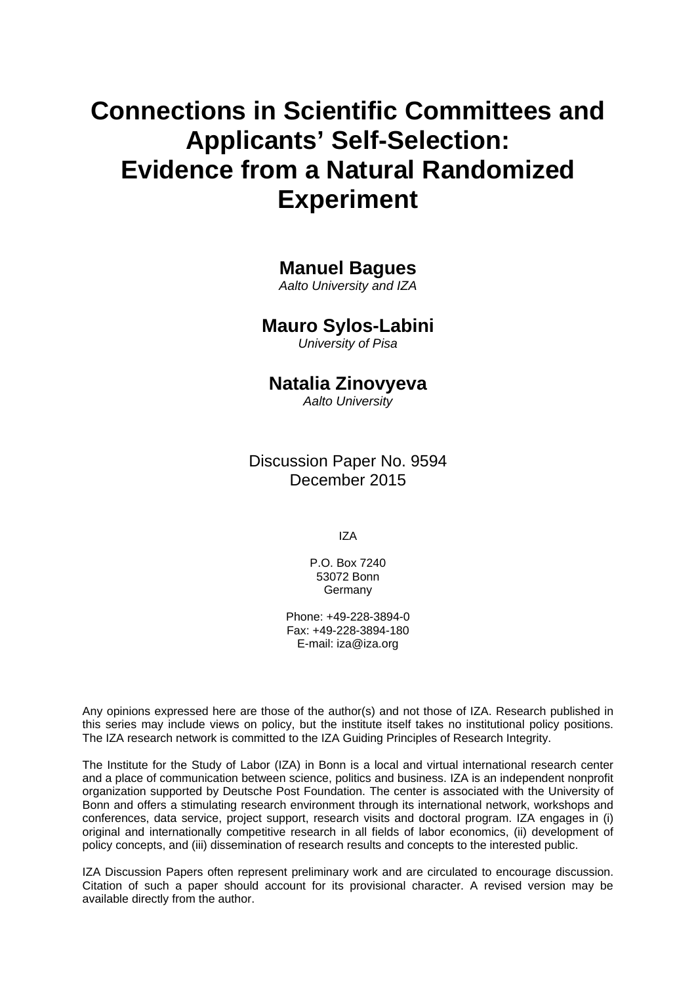# **Connections in Scientific Committees and Applicants' Self-Selection: Evidence from a Natural Randomized Experiment**

### **Manuel Bagues**

*Aalto University and IZA* 

### **Mauro Sylos-Labini**

*University of Pisa* 

### **Natalia Zinovyeva**

*Aalto University*

Discussion Paper No. 9594 December 2015

IZA

P.O. Box 7240 53072 Bonn Germany

Phone: +49-228-3894-0 Fax: +49-228-3894-180 E-mail: iza@iza.org

Any opinions expressed here are those of the author(s) and not those of IZA. Research published in this series may include views on policy, but the institute itself takes no institutional policy positions. The IZA research network is committed to the IZA Guiding Principles of Research Integrity.

The Institute for the Study of Labor (IZA) in Bonn is a local and virtual international research center and a place of communication between science, politics and business. IZA is an independent nonprofit organization supported by Deutsche Post Foundation. The center is associated with the University of Bonn and offers a stimulating research environment through its international network, workshops and conferences, data service, project support, research visits and doctoral program. IZA engages in (i) original and internationally competitive research in all fields of labor economics, (ii) development of policy concepts, and (iii) dissemination of research results and concepts to the interested public.

IZA Discussion Papers often represent preliminary work and are circulated to encourage discussion. Citation of such a paper should account for its provisional character. A revised version may be available directly from the author.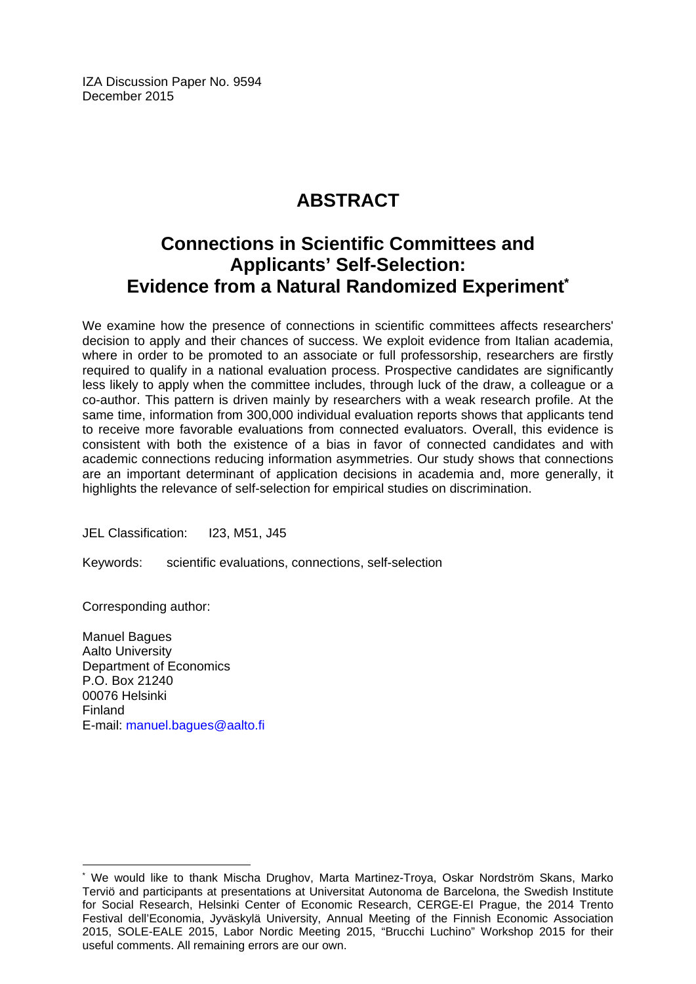IZA Discussion Paper No. 9594 December 2015

## **ABSTRACT**

### **Connections in Scientific Committees and Applicants' Self-Selection: Evidence from a Natural Randomized Experiment\***

We examine how the presence of connections in scientific committees affects researchers' decision to apply and their chances of success. We exploit evidence from Italian academia, where in order to be promoted to an associate or full professorship, researchers are firstly required to qualify in a national evaluation process. Prospective candidates are significantly less likely to apply when the committee includes, through luck of the draw, a colleague or a co-author. This pattern is driven mainly by researchers with a weak research profile. At the same time, information from 300,000 individual evaluation reports shows that applicants tend to receive more favorable evaluations from connected evaluators. Overall, this evidence is consistent with both the existence of a bias in favor of connected candidates and with academic connections reducing information asymmetries. Our study shows that connections are an important determinant of application decisions in academia and, more generally, it highlights the relevance of self-selection for empirical studies on discrimination.

JEL Classification: I23, M51, J45

Keywords: scientific evaluations, connections, self-selection

Corresponding author:

 $\overline{\phantom{a}}$ 

Manuel Bagues Aalto University Department of Economics P.O. Box 21240 00076 Helsinki Finland E-mail: manuel.bagues@aalto.fi

<sup>\*</sup> We would like to thank Mischa Drughov, Marta Martinez-Troya, Oskar Nordström Skans, Marko Terviö and participants at presentations at Universitat Autonoma de Barcelona, the Swedish Institute for Social Research, Helsinki Center of Economic Research, CERGE-EI Prague, the 2014 Trento Festival dell'Economia, Jyväskylä University, Annual Meeting of the Finnish Economic Association 2015, SOLE-EALE 2015, Labor Nordic Meeting 2015, "Brucchi Luchino" Workshop 2015 for their useful comments. All remaining errors are our own.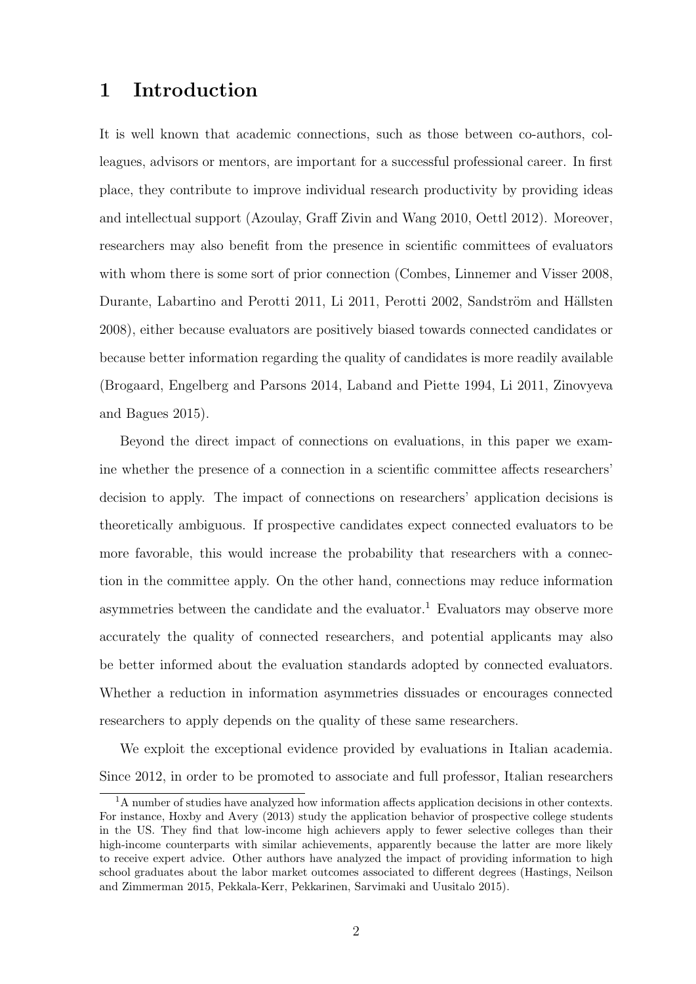### 1 Introduction

It is well known that academic connections, such as those between co-authors, colleagues, advisors or mentors, are important for a successful professional career. In first place, they contribute to improve individual research productivity by providing ideas and intellectual support (Azoulay, Graff Zivin and Wang 2010, Oettl 2012). Moreover, researchers may also benefit from the presence in scientific committees of evaluators with whom there is some sort of prior connection (Combes, Linnemer and Visser 2008, Durante, Labartino and Perotti 2011, Li 2011, Perotti 2002, Sandström and Hällsten 2008), either because evaluators are positively biased towards connected candidates or because better information regarding the quality of candidates is more readily available (Brogaard, Engelberg and Parsons 2014, Laband and Piette 1994, Li 2011, Zinovyeva and Bagues 2015).

Beyond the direct impact of connections on evaluations, in this paper we examine whether the presence of a connection in a scientific committee affects researchers' decision to apply. The impact of connections on researchers' application decisions is theoretically ambiguous. If prospective candidates expect connected evaluators to be more favorable, this would increase the probability that researchers with a connection in the committee apply. On the other hand, connections may reduce information asymmetries between the candidate and the evaluator.<sup>1</sup> Evaluators may observe more accurately the quality of connected researchers, and potential applicants may also be better informed about the evaluation standards adopted by connected evaluators. Whether a reduction in information asymmetries dissuades or encourages connected researchers to apply depends on the quality of these same researchers.

We exploit the exceptional evidence provided by evaluations in Italian academia. Since 2012, in order to be promoted to associate and full professor, Italian researchers

<sup>&</sup>lt;sup>1</sup>A number of studies have analyzed how information affects application decisions in other contexts. For instance, Hoxby and Avery (2013) study the application behavior of prospective college students in the US. They find that low-income high achievers apply to fewer selective colleges than their high-income counterparts with similar achievements, apparently because the latter are more likely to receive expert advice. Other authors have analyzed the impact of providing information to high school graduates about the labor market outcomes associated to different degrees (Hastings, Neilson and Zimmerman 2015, Pekkala-Kerr, Pekkarinen, Sarvimaki and Uusitalo 2015).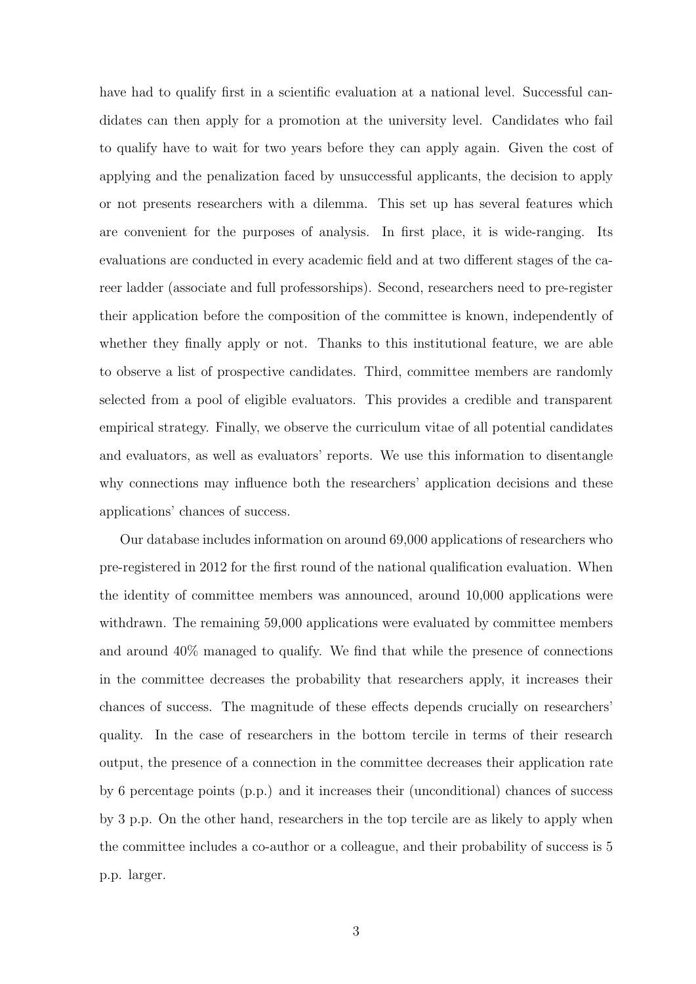have had to qualify first in a scientific evaluation at a national level. Successful candidates can then apply for a promotion at the university level. Candidates who fail to qualify have to wait for two years before they can apply again. Given the cost of applying and the penalization faced by unsuccessful applicants, the decision to apply or not presents researchers with a dilemma. This set up has several features which are convenient for the purposes of analysis. In first place, it is wide-ranging. Its evaluations are conducted in every academic field and at two different stages of the career ladder (associate and full professorships). Second, researchers need to pre-register their application before the composition of the committee is known, independently of whether they finally apply or not. Thanks to this institutional feature, we are able to observe a list of prospective candidates. Third, committee members are randomly selected from a pool of eligible evaluators. This provides a credible and transparent empirical strategy. Finally, we observe the curriculum vitae of all potential candidates and evaluators, as well as evaluators' reports. We use this information to disentangle why connections may influence both the researchers' application decisions and these applications' chances of success.

Our database includes information on around 69,000 applications of researchers who pre-registered in 2012 for the first round of the national qualification evaluation. When the identity of committee members was announced, around 10,000 applications were withdrawn. The remaining 59,000 applications were evaluated by committee members and around 40% managed to qualify. We find that while the presence of connections in the committee decreases the probability that researchers apply, it increases their chances of success. The magnitude of these effects depends crucially on researchers' quality. In the case of researchers in the bottom tercile in terms of their research output, the presence of a connection in the committee decreases their application rate by 6 percentage points (p.p.) and it increases their (unconditional) chances of success by 3 p.p. On the other hand, researchers in the top tercile are as likely to apply when the committee includes a co-author or a colleague, and their probability of success is 5 p.p. larger.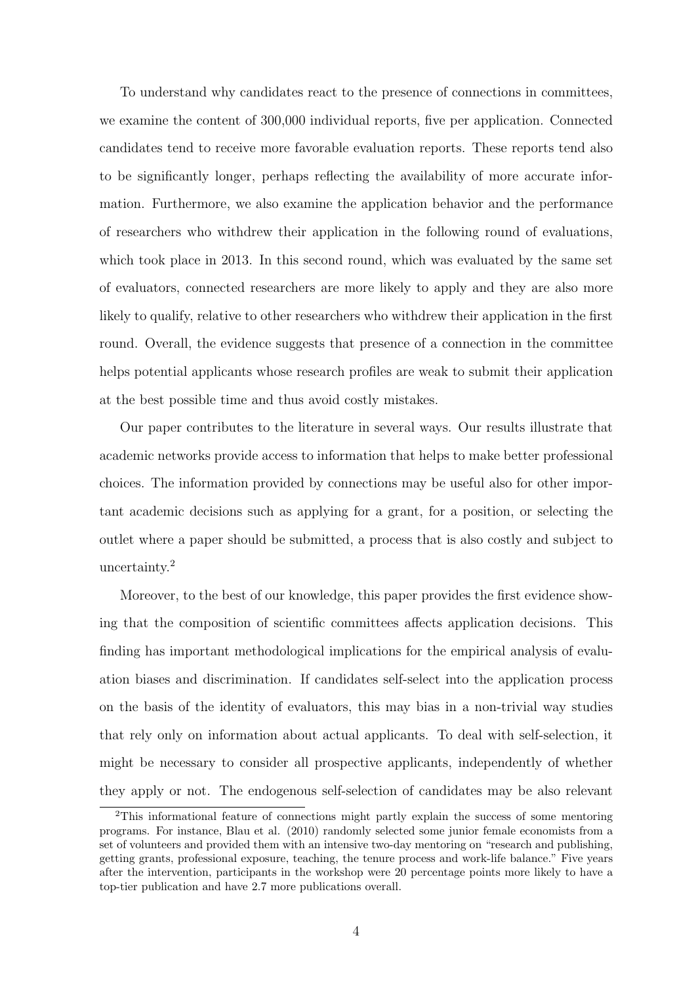To understand why candidates react to the presence of connections in committees, we examine the content of 300,000 individual reports, five per application. Connected candidates tend to receive more favorable evaluation reports. These reports tend also to be significantly longer, perhaps reflecting the availability of more accurate information. Furthermore, we also examine the application behavior and the performance of researchers who withdrew their application in the following round of evaluations, which took place in 2013. In this second round, which was evaluated by the same set of evaluators, connected researchers are more likely to apply and they are also more likely to qualify, relative to other researchers who withdrew their application in the first round. Overall, the evidence suggests that presence of a connection in the committee helps potential applicants whose research profiles are weak to submit their application at the best possible time and thus avoid costly mistakes.

Our paper contributes to the literature in several ways. Our results illustrate that academic networks provide access to information that helps to make better professional choices. The information provided by connections may be useful also for other important academic decisions such as applying for a grant, for a position, or selecting the outlet where a paper should be submitted, a process that is also costly and subject to uncertainty.<sup>2</sup>

Moreover, to the best of our knowledge, this paper provides the first evidence showing that the composition of scientific committees affects application decisions. This finding has important methodological implications for the empirical analysis of evaluation biases and discrimination. If candidates self-select into the application process on the basis of the identity of evaluators, this may bias in a non-trivial way studies that rely only on information about actual applicants. To deal with self-selection, it might be necessary to consider all prospective applicants, independently of whether they apply or not. The endogenous self-selection of candidates may be also relevant

<sup>2</sup>This informational feature of connections might partly explain the success of some mentoring programs. For instance, Blau et al. (2010) randomly selected some junior female economists from a set of volunteers and provided them with an intensive two-day mentoring on "research and publishing, getting grants, professional exposure, teaching, the tenure process and work-life balance." Five years after the intervention, participants in the workshop were 20 percentage points more likely to have a top-tier publication and have 2.7 more publications overall.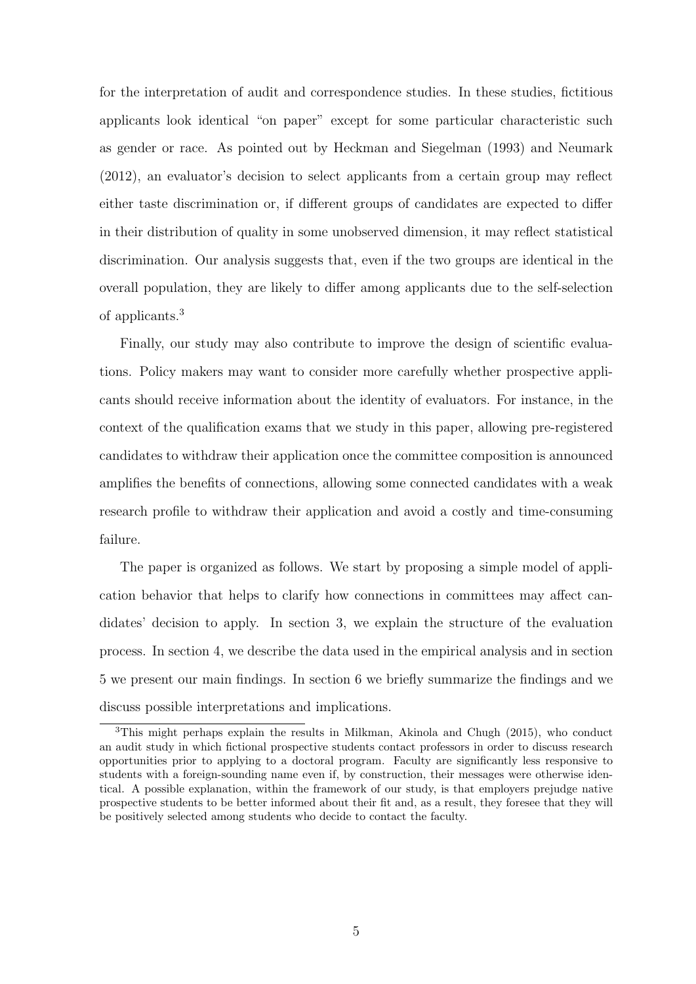for the interpretation of audit and correspondence studies. In these studies, fictitious applicants look identical "on paper" except for some particular characteristic such as gender or race. As pointed out by Heckman and Siegelman (1993) and Neumark (2012), an evaluator's decision to select applicants from a certain group may reflect either taste discrimination or, if different groups of candidates are expected to differ in their distribution of quality in some unobserved dimension, it may reflect statistical discrimination. Our analysis suggests that, even if the two groups are identical in the overall population, they are likely to differ among applicants due to the self-selection of applicants.<sup>3</sup>

Finally, our study may also contribute to improve the design of scientific evaluations. Policy makers may want to consider more carefully whether prospective applicants should receive information about the identity of evaluators. For instance, in the context of the qualification exams that we study in this paper, allowing pre-registered candidates to withdraw their application once the committee composition is announced amplifies the benefits of connections, allowing some connected candidates with a weak research profile to withdraw their application and avoid a costly and time-consuming failure.

The paper is organized as follows. We start by proposing a simple model of application behavior that helps to clarify how connections in committees may affect candidates' decision to apply. In section 3, we explain the structure of the evaluation process. In section 4, we describe the data used in the empirical analysis and in section 5 we present our main findings. In section 6 we briefly summarize the findings and we discuss possible interpretations and implications.

<sup>3</sup>This might perhaps explain the results in Milkman, Akinola and Chugh (2015), who conduct an audit study in which fictional prospective students contact professors in order to discuss research opportunities prior to applying to a doctoral program. Faculty are significantly less responsive to students with a foreign-sounding name even if, by construction, their messages were otherwise identical. A possible explanation, within the framework of our study, is that employers prejudge native prospective students to be better informed about their fit and, as a result, they foresee that they will be positively selected among students who decide to contact the faculty.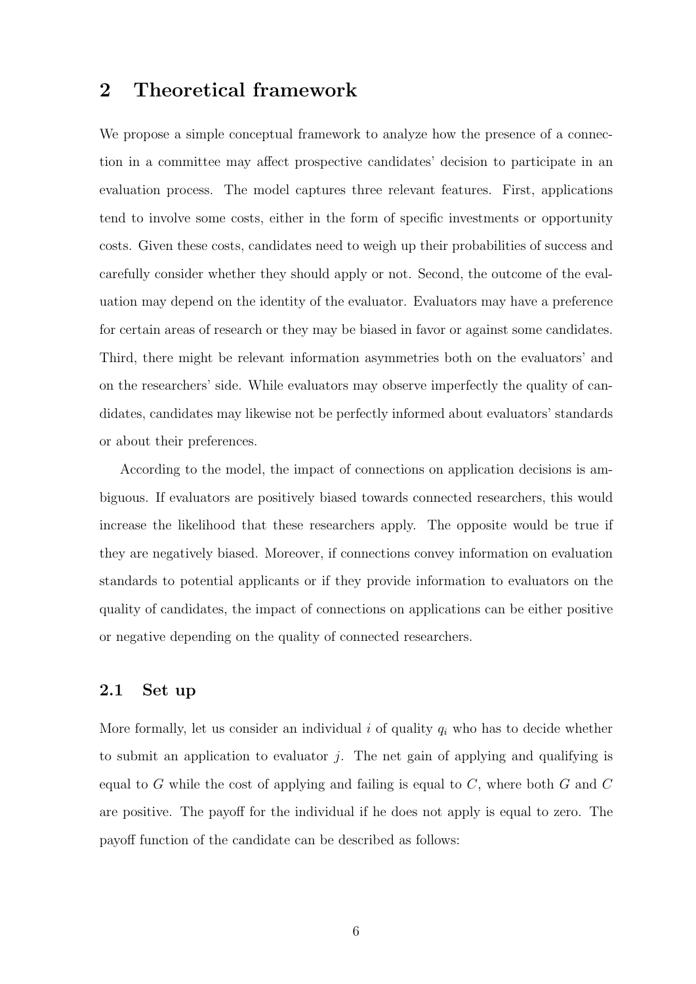### 2 Theoretical framework

We propose a simple conceptual framework to analyze how the presence of a connection in a committee may affect prospective candidates' decision to participate in an evaluation process. The model captures three relevant features. First, applications tend to involve some costs, either in the form of specific investments or opportunity costs. Given these costs, candidates need to weigh up their probabilities of success and carefully consider whether they should apply or not. Second, the outcome of the evaluation may depend on the identity of the evaluator. Evaluators may have a preference for certain areas of research or they may be biased in favor or against some candidates. Third, there might be relevant information asymmetries both on the evaluators' and on the researchers' side. While evaluators may observe imperfectly the quality of candidates, candidates may likewise not be perfectly informed about evaluators' standards or about their preferences.

According to the model, the impact of connections on application decisions is ambiguous. If evaluators are positively biased towards connected researchers, this would increase the likelihood that these researchers apply. The opposite would be true if they are negatively biased. Moreover, if connections convey information on evaluation standards to potential applicants or if they provide information to evaluators on the quality of candidates, the impact of connections on applications can be either positive or negative depending on the quality of connected researchers.

#### 2.1 Set up

More formally, let us consider an individual  $i$  of quality  $q_i$  who has to decide whether to submit an application to evaluator  $i$ . The net gain of applying and qualifying is equal to G while the cost of applying and failing is equal to  $C$ , where both  $G$  and  $C$ are positive. The payoff for the individual if he does not apply is equal to zero. The payoff function of the candidate can be described as follows: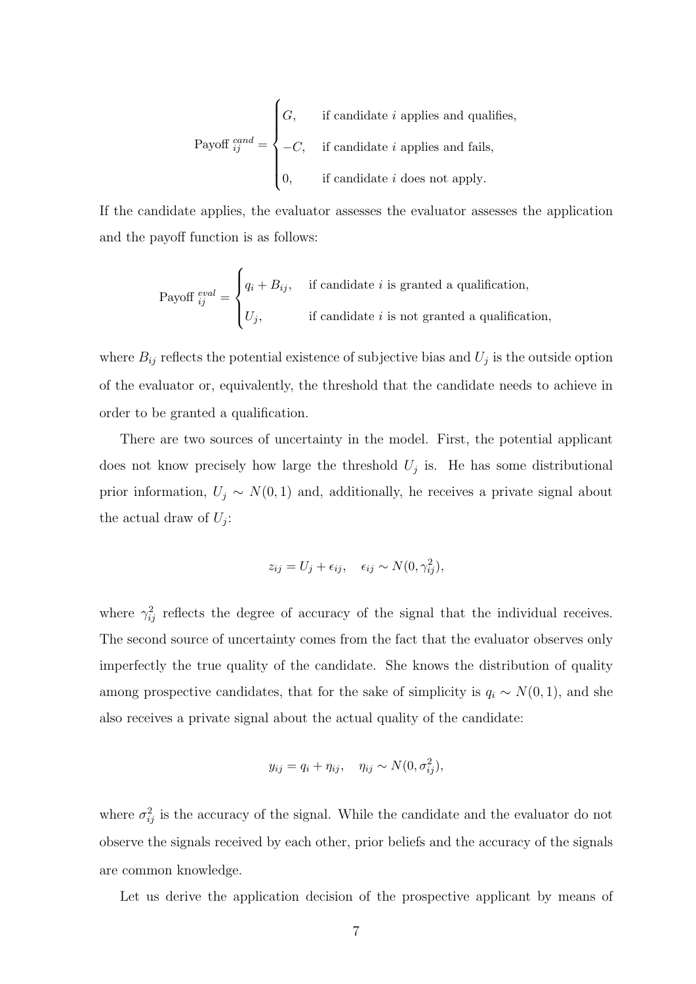Payoff 
$$
_{ij}^{cand}
$$
 = 
$$
\begin{cases} G, & \text{if candidate } i \text{ applies and qualities,} \\ -C, & \text{if candidate } i \text{ applies and fails,} \\ 0, & \text{if candidate } i \text{ does not apply.} \end{cases}
$$

If the candidate applies, the evaluator assesses the evaluator assesses the application and the payoff function is as follows:

Payoff 
$$
_{ij}^{eval} = \begin{cases} q_i + B_{ij}, & \text{if candidate } i \text{ is granted a qualification,} \\ U_j, & \text{if candidate } i \text{ is not granted a qualification,} \end{cases}
$$

where  $B_{ij}$  reflects the potential existence of subjective bias and  $U_j$  is the outside option of the evaluator or, equivalently, the threshold that the candidate needs to achieve in order to be granted a qualification.

There are two sources of uncertainty in the model. First, the potential applicant does not know precisely how large the threshold  $U_j$  is. He has some distributional prior information,  $U_j \sim N(0, 1)$  and, additionally, he receives a private signal about the actual draw of  $U_j$ :

$$
z_{ij} = U_j + \epsilon_{ij}, \quad \epsilon_{ij} \sim N(0, \gamma_{ij}^2),
$$

where  $\gamma_{ij}^2$  reflects the degree of accuracy of the signal that the individual receives. The second source of uncertainty comes from the fact that the evaluator observes only imperfectly the true quality of the candidate. She knows the distribution of quality among prospective candidates, that for the sake of simplicity is  $q_i \sim N(0, 1)$ , and she also receives a private signal about the actual quality of the candidate:

$$
y_{ij} = q_i + \eta_{ij}, \quad \eta_{ij} \sim N(0, \sigma_{ij}^2),
$$

where  $\sigma_{ij}^2$  is the accuracy of the signal. While the candidate and the evaluator do not observe the signals received by each other, prior beliefs and the accuracy of the signals are common knowledge.

Let us derive the application decision of the prospective applicant by means of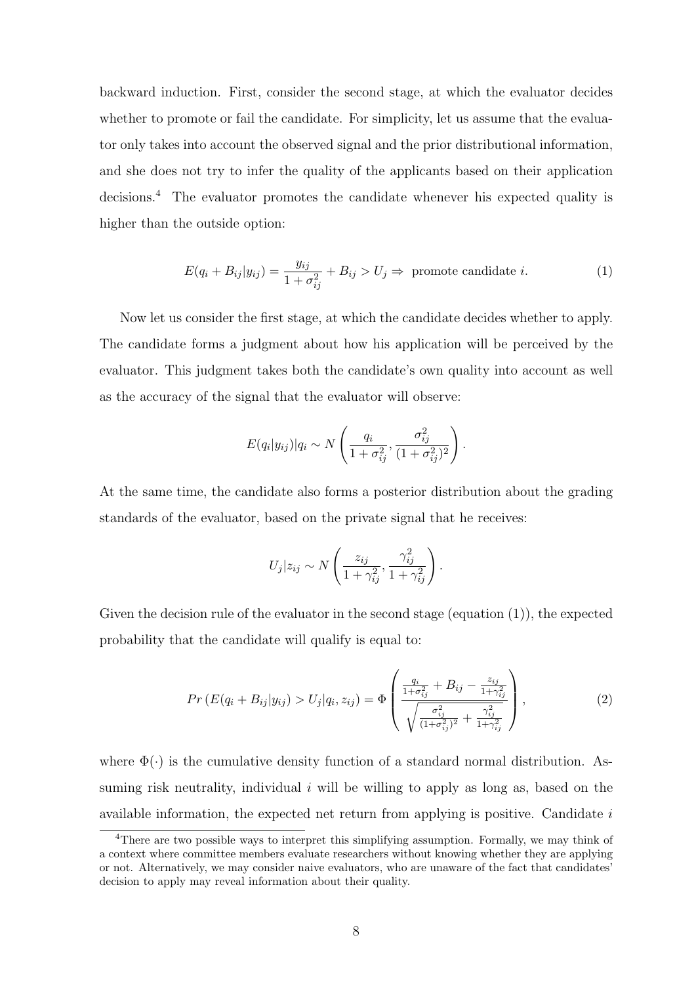backward induction. First, consider the second stage, at which the evaluator decides whether to promote or fail the candidate. For simplicity, let us assume that the evaluator only takes into account the observed signal and the prior distributional information, and she does not try to infer the quality of the applicants based on their application decisions.<sup>4</sup> The evaluator promotes the candidate whenever his expected quality is higher than the outside option:

$$
E(q_i + B_{ij}|y_{ij}) = \frac{y_{ij}}{1 + \sigma_{ij}^2} + B_{ij} > U_j \Rightarrow \text{ promote candidate } i.
$$
 (1)

Now let us consider the first stage, at which the candidate decides whether to apply. The candidate forms a judgment about how his application will be perceived by the evaluator. This judgment takes both the candidate's own quality into account as well as the accuracy of the signal that the evaluator will observe:

$$
E(q_i|y_{ij})|q_i \sim N\left(\frac{q_i}{1+\sigma_{ij}^2}, \frac{\sigma_{ij}^2}{(1+\sigma_{ij}^2)^2}\right).
$$

At the same time, the candidate also forms a posterior distribution about the grading standards of the evaluator, based on the private signal that he receives:

$$
U_j|z_{ij} \sim N\left(\frac{z_{ij}}{1+\gamma_{ij}^2}, \frac{\gamma_{ij}^2}{1+\gamma_{ij}^2}\right).
$$

Given the decision rule of the evaluator in the second stage (equation  $(1)$ ), the expected probability that the candidate will qualify is equal to:

$$
Pr(E(q_i + B_{ij}|y_{ij}) > U_j|q_i, z_{ij}) = \Phi\left(\frac{\frac{q_i}{1 + \sigma_{ij}^2} + B_{ij} - \frac{z_{ij}}{1 + \gamma_{ij}^2}}{\sqrt{\frac{\sigma_{ij}^2}{(1 + \sigma_{ij}^2)^2} + \frac{\gamma_{ij}^2}{1 + \gamma_{ij}^2}}}\right),
$$
\n(2)

where  $\Phi(\cdot)$  is the cumulative density function of a standard normal distribution. Assuming risk neutrality, individual  $i$  will be willing to apply as long as, based on the available information, the expected net return from applying is positive. Candidate  $i$ 

<sup>&</sup>lt;sup>4</sup>There are two possible ways to interpret this simplifying assumption. Formally, we may think of a context where committee members evaluate researchers without knowing whether they are applying or not. Alternatively, we may consider naive evaluators, who are unaware of the fact that candidates' decision to apply may reveal information about their quality.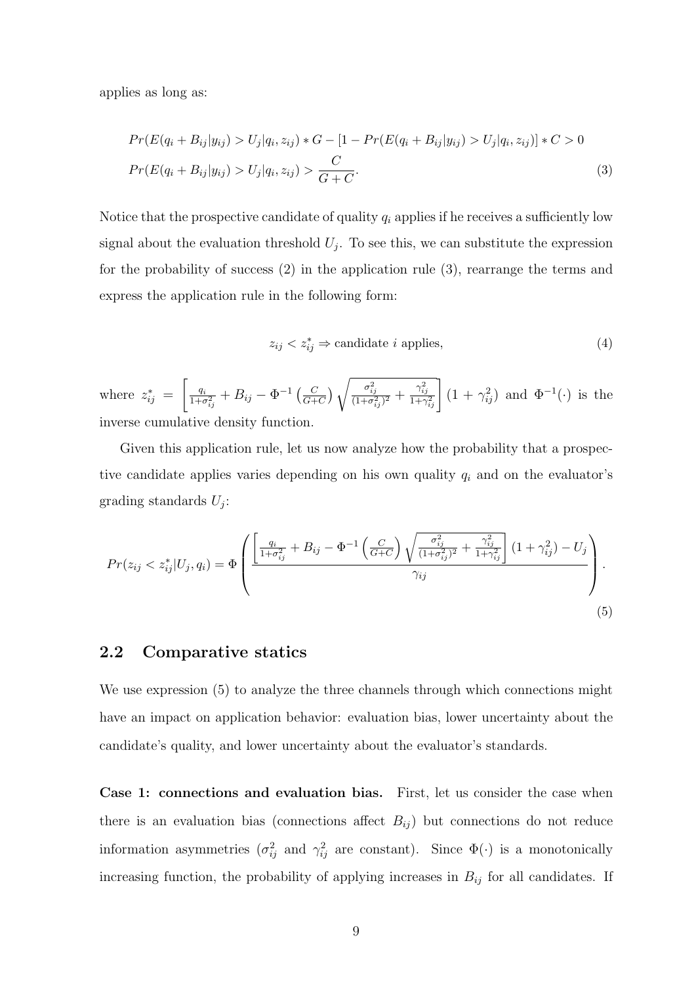applies as long as:

$$
Pr(E(q_i + B_{ij}|y_{ij}) > U_j|q_i, z_{ij}) * G - [1 - Pr(E(q_i + B_{ij}|y_{ij}) > U_j|q_i, z_{ij})] * C > 0
$$
  

$$
Pr(E(q_i + B_{ij}|y_{ij}) > U_j|q_i, z_{ij}) > \frac{C}{G + C}.
$$
 (3)

Notice that the prospective candidate of quality  $q_i$  applies if he receives a sufficiently low signal about the evaluation threshold  $U_j$ . To see this, we can substitute the expression for the probability of success (2) in the application rule (3), rearrange the terms and express the application rule in the following form:

$$
z_{ij} < z_{ij}^* \Rightarrow \text{candidate } i \text{ applies},\tag{4}
$$

where  $z_{ij}^* =$  $\begin{bmatrix} q_i \end{bmatrix}$  $\frac{q_i}{1+\sigma_{ij}^2}+B_{ij}-\Phi^{-1}\left(\frac{C}{G+}\right)$  $\frac{C}{G+C}$ )  $\sqrt{\frac{\sigma_{ij}^2}{(1+\sigma_{ij}^2)^2} + \frac{\gamma_{ij}^2}{1+\gamma_{ij}^2}}$   $(1+\gamma_{ij}^2)$  and  $\Phi^{-1}(\cdot)$  is the inverse cumulative density function.

Given this application rule, let us now analyze how the probability that a prospective candidate applies varies depending on his own quality  $q_i$  and on the evaluator's grading standards  $U_j$ :

$$
Pr(z_{ij} < z_{ij}^* | U_j, q_i) = \Phi\left(\frac{\left[\frac{q_i}{1 + \sigma_{ij}^2} + B_{ij} - \Phi^{-1}\left(\frac{C}{G + C}\right)\sqrt{\frac{\sigma_{ij}^2}{(1 + \sigma_{ij}^2)^2} + \frac{\gamma_{ij}^2}{1 + \gamma_{ij}^2}}\right](1 + \gamma_{ij}^2) - U_j}{\gamma_{ij}}\right).
$$
\n
$$
(5)
$$

#### 2.2 Comparative statics

We use expression (5) to analyze the three channels through which connections might have an impact on application behavior: evaluation bias, lower uncertainty about the candidate's quality, and lower uncertainty about the evaluator's standards.

Case 1: connections and evaluation bias. First, let us consider the case when there is an evaluation bias (connections affect  $B_{ij}$ ) but connections do not reduce information asymmetries  $(\sigma_{ij}^2$  and  $\gamma_{ij}^2$  are constant). Since  $\Phi(\cdot)$  is a monotonically increasing function, the probability of applying increases in  $B_{ij}$  for all candidates. If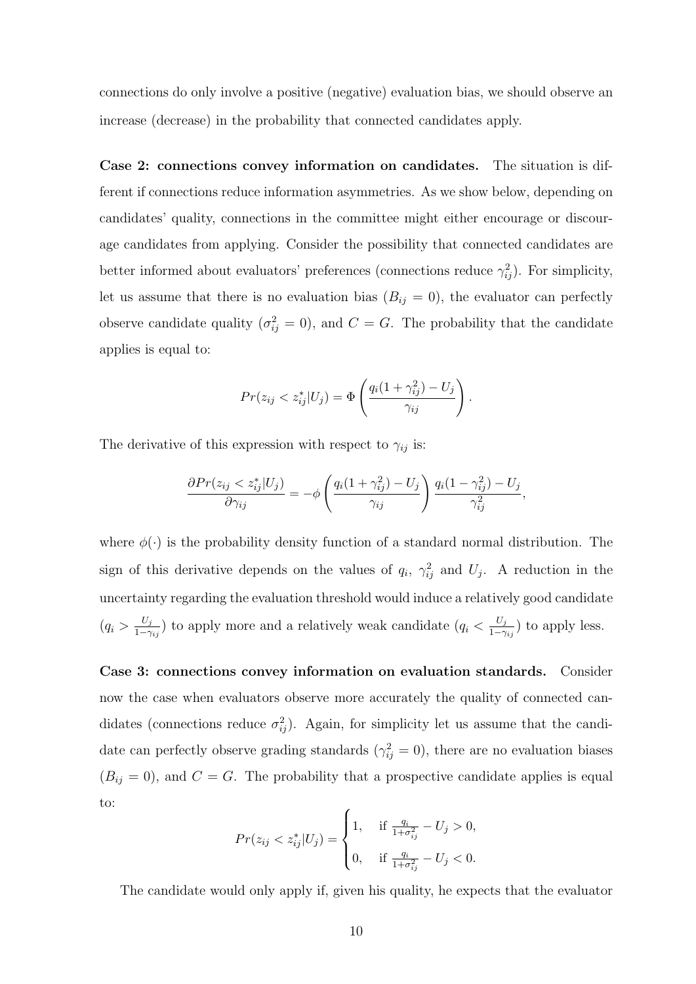connections do only involve a positive (negative) evaluation bias, we should observe an increase (decrease) in the probability that connected candidates apply.

Case 2: connections convey information on candidates. The situation is different if connections reduce information asymmetries. As we show below, depending on candidates' quality, connections in the committee might either encourage or discourage candidates from applying. Consider the possibility that connected candidates are better informed about evaluators' preferences (connections reduce  $\gamma_{ij}^2$ ). For simplicity, let us assume that there is no evaluation bias  $(B_{ij} = 0)$ , the evaluator can perfectly observe candidate quality  $(\sigma_{ij}^2 = 0)$ , and  $C = G$ . The probability that the candidate applies is equal to:

$$
Pr(z_{ij} < z_{ij}^* | U_j) = \Phi\left(\frac{q_i(1 + \gamma_{ij}^2) - U_j}{\gamma_{ij}}\right).
$$

The derivative of this expression with respect to  $\gamma_{ij}$  is:

$$
\frac{\partial Pr(z_{ij} < z_{ij}^* | U_j)}{\partial \gamma_{ij}} = -\phi \left( \frac{q_i (1 + \gamma_{ij}^2) - U_j}{\gamma_{ij}} \right) \frac{q_i (1 - \gamma_{ij}^2) - U_j}{\gamma_{ij}^2},
$$

where  $\phi(\cdot)$  is the probability density function of a standard normal distribution. The sign of this derivative depends on the values of  $q_i$ ,  $\gamma_{ij}^2$  and  $U_j$ . A reduction in the uncertainty regarding the evaluation threshold would induce a relatively good candidate  $\left(q_i > \frac{U_j}{1-\gamma}\right)$  $\frac{U_j}{1-\gamma_{ij}}$ ) to apply more and a relatively weak candidate  $(q_i < \frac{U_j}{1-\gamma_{ij}})$  $\frac{U_j}{1-\gamma_{ij}}$ ) to apply less.

Case 3: connections convey information on evaluation standards. Consider now the case when evaluators observe more accurately the quality of connected candidates (connections reduce  $\sigma_{ij}^2$ ). Again, for simplicity let us assume that the candidate can perfectly observe grading standards  $(\gamma_{ij}^2 = 0)$ , there are no evaluation biases  $(B_{ij} = 0)$ , and  $C = G$ . The probability that a prospective candidate applies is equal to:

$$
Pr(z_{ij} < z_{ij}^* | U_j) = \begin{cases} 1, & \text{if } \frac{q_i}{1 + \sigma_{ij}^2} - U_j > 0, \\ 0, & \text{if } \frac{q_i}{1 + \sigma_{ij}^2} - U_j < 0. \end{cases}
$$

The candidate would only apply if, given his quality, he expects that the evaluator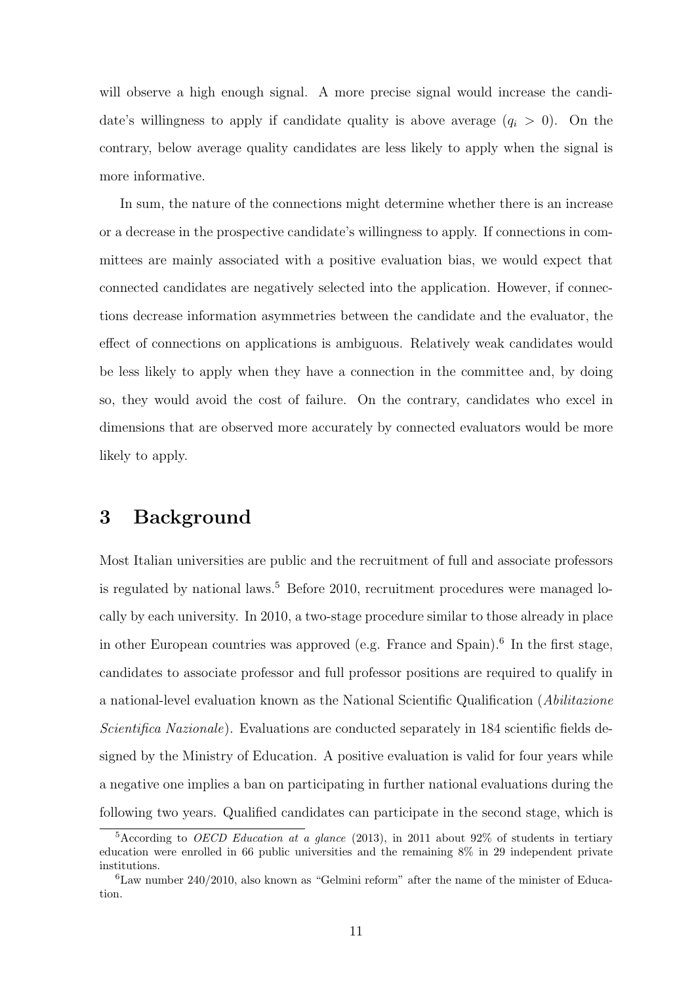will observe a high enough signal. A more precise signal would increase the candidate's willingness to apply if candidate quality is above average  $(q_i > 0)$ . On the contrary, below average quality candidates are less likely to apply when the signal is more informative.

In sum, the nature of the connections might determine whether there is an increase or a decrease in the prospective candidate's willingness to apply. If connections in committees are mainly associated with a positive evaluation bias, we would expect that connected candidates are negatively selected into the application. However, if connections decrease information asymmetries between the candidate and the evaluator, the effect of connections on applications is ambiguous. Relatively weak candidates would be less likely to apply when they have a connection in the committee and, by doing so, they would avoid the cost of failure. On the contrary, candidates who excel in dimensions that are observed more accurately by connected evaluators would be more likely to apply.

### 3 Background

Most Italian universities are public and the recruitment of full and associate professors is regulated by national laws.<sup>5</sup> Before 2010, recruitment procedures were managed locally by each university. In 2010, a two-stage procedure similar to those already in place in other European countries was approved (e.g. France and Spain).<sup>6</sup> In the first stage, candidates to associate professor and full professor positions are required to qualify in a national-level evaluation known as the National Scientific Qualification (Abilitazione Scientifica Nazionale). Evaluations are conducted separately in 184 scientific fields designed by the Ministry of Education. A positive evaluation is valid for four years while a negative one implies a ban on participating in further national evaluations during the following two years. Qualified candidates can participate in the second stage, which is

<sup>&</sup>lt;sup>5</sup>According to *OECD Education at a glance* (2013), in 2011 about 92\% of students in tertiary education were enrolled in 66 public universities and the remaining 8% in 29 independent private institutions.

<sup>6</sup>Law number 240/2010, also known as "Gelmini reform" after the name of the minister of Education.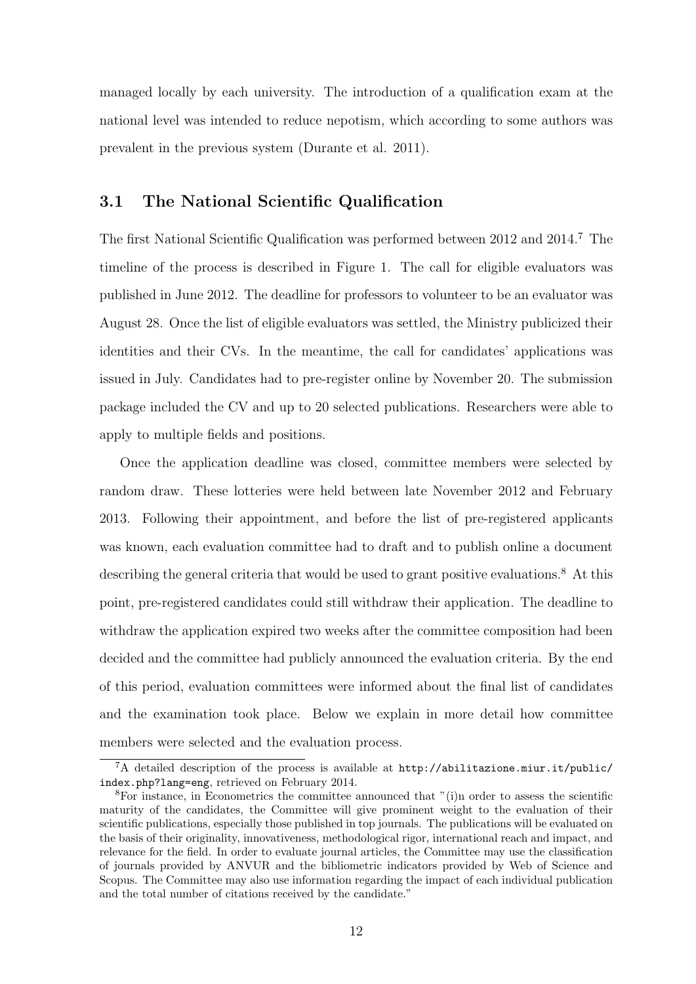managed locally by each university. The introduction of a qualification exam at the national level was intended to reduce nepotism, which according to some authors was prevalent in the previous system (Durante et al. 2011).

#### 3.1 The National Scientific Qualification

The first National Scientific Qualification was performed between 2012 and 2014.<sup>7</sup> The timeline of the process is described in Figure 1. The call for eligible evaluators was published in June 2012. The deadline for professors to volunteer to be an evaluator was August 28. Once the list of eligible evaluators was settled, the Ministry publicized their identities and their CVs. In the meantime, the call for candidates' applications was issued in July. Candidates had to pre-register online by November 20. The submission package included the CV and up to 20 selected publications. Researchers were able to apply to multiple fields and positions.

Once the application deadline was closed, committee members were selected by random draw. These lotteries were held between late November 2012 and February 2013. Following their appointment, and before the list of pre-registered applicants was known, each evaluation committee had to draft and to publish online a document describing the general criteria that would be used to grant positive evaluations.<sup>8</sup> At this point, pre-registered candidates could still withdraw their application. The deadline to withdraw the application expired two weeks after the committee composition had been decided and the committee had publicly announced the evaluation criteria. By the end of this period, evaluation committees were informed about the final list of candidates and the examination took place. Below we explain in more detail how committee members were selected and the evaluation process.

<sup>7</sup>A detailed description of the process is available at http://abilitazione.miur.it/public/ index.php?lang=eng, retrieved on February 2014.

<sup>&</sup>lt;sup>8</sup>For instance, in Econometrics the committee announced that  $"(i)$ n order to assess the scientific maturity of the candidates, the Committee will give prominent weight to the evaluation of their scientific publications, especially those published in top journals. The publications will be evaluated on the basis of their originality, innovativeness, methodological rigor, international reach and impact, and relevance for the field. In order to evaluate journal articles, the Committee may use the classification of journals provided by ANVUR and the bibliometric indicators provided by Web of Science and Scopus. The Committee may also use information regarding the impact of each individual publication and the total number of citations received by the candidate."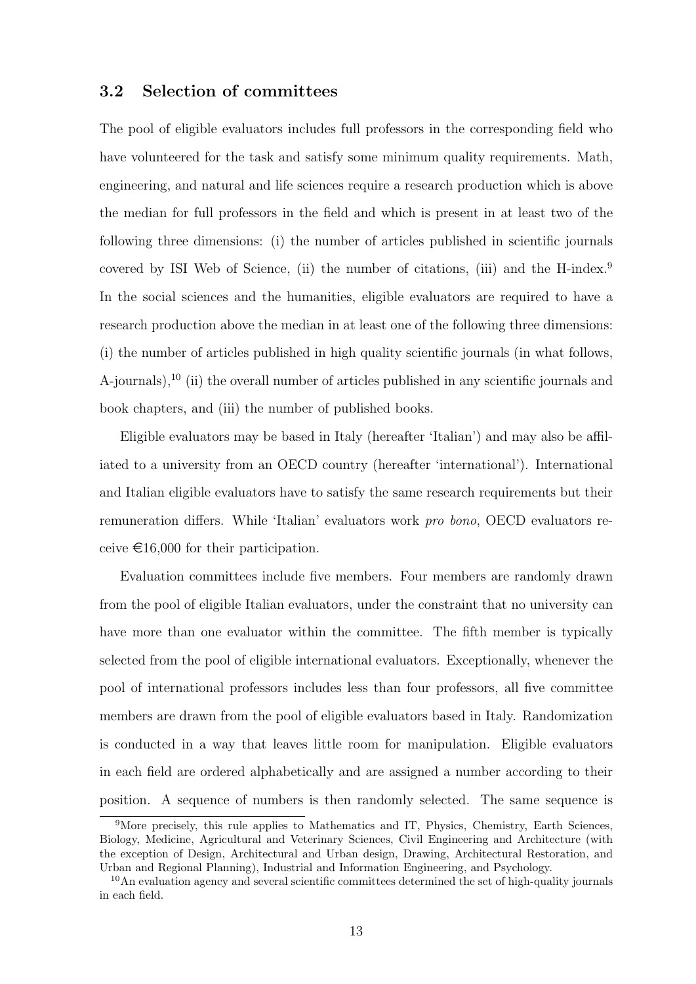#### 3.2 Selection of committees

The pool of eligible evaluators includes full professors in the corresponding field who have volunteered for the task and satisfy some minimum quality requirements. Math, engineering, and natural and life sciences require a research production which is above the median for full professors in the field and which is present in at least two of the following three dimensions: (i) the number of articles published in scientific journals covered by ISI Web of Science, (ii) the number of citations, (iii) and the H-index.<sup>9</sup> In the social sciences and the humanities, eligible evaluators are required to have a research production above the median in at least one of the following three dimensions: (i) the number of articles published in high quality scientific journals (in what follows, A-journals),<sup>10</sup> (ii) the overall number of articles published in any scientific journals and book chapters, and (iii) the number of published books.

Eligible evaluators may be based in Italy (hereafter 'Italian') and may also be affiliated to a university from an OECD country (hereafter 'international'). International and Italian eligible evaluators have to satisfy the same research requirements but their remuneration differs. While 'Italian' evaluators work pro bono, OECD evaluators receive  $\epsilon$ 16,000 for their participation.

Evaluation committees include five members. Four members are randomly drawn from the pool of eligible Italian evaluators, under the constraint that no university can have more than one evaluator within the committee. The fifth member is typically selected from the pool of eligible international evaluators. Exceptionally, whenever the pool of international professors includes less than four professors, all five committee members are drawn from the pool of eligible evaluators based in Italy. Randomization is conducted in a way that leaves little room for manipulation. Eligible evaluators in each field are ordered alphabetically and are assigned a number according to their position. A sequence of numbers is then randomly selected. The same sequence is

<sup>&</sup>lt;sup>9</sup>More precisely, this rule applies to Mathematics and IT, Physics, Chemistry, Earth Sciences, Biology, Medicine, Agricultural and Veterinary Sciences, Civil Engineering and Architecture (with the exception of Design, Architectural and Urban design, Drawing, Architectural Restoration, and Urban and Regional Planning), Industrial and Information Engineering, and Psychology.

<sup>&</sup>lt;sup>10</sup>An evaluation agency and several scientific committees determined the set of high-quality journals in each field.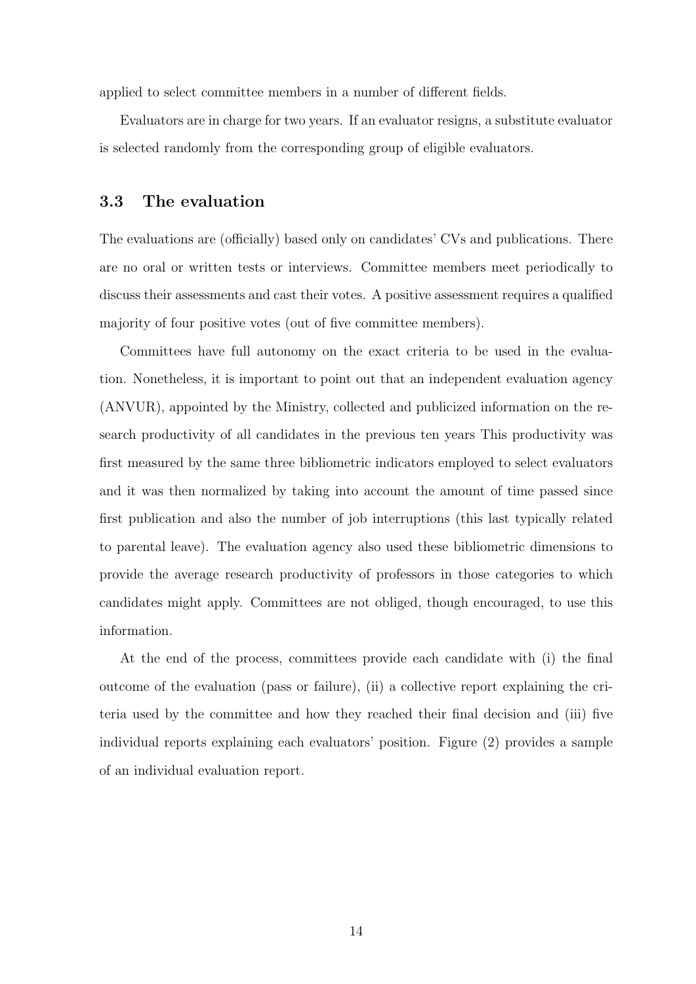applied to select committee members in a number of different fields.

Evaluators are in charge for two years. If an evaluator resigns, a substitute evaluator is selected randomly from the corresponding group of eligible evaluators.

#### 3.3 The evaluation

The evaluations are (officially) based only on candidates' CVs and publications. There are no oral or written tests or interviews. Committee members meet periodically to discuss their assessments and cast their votes. A positive assessment requires a qualified majority of four positive votes (out of five committee members).

Committees have full autonomy on the exact criteria to be used in the evaluation. Nonetheless, it is important to point out that an independent evaluation agency (ANVUR), appointed by the Ministry, collected and publicized information on the research productivity of all candidates in the previous ten years This productivity was first measured by the same three bibliometric indicators employed to select evaluators and it was then normalized by taking into account the amount of time passed since first publication and also the number of job interruptions (this last typically related to parental leave). The evaluation agency also used these bibliometric dimensions to provide the average research productivity of professors in those categories to which candidates might apply. Committees are not obliged, though encouraged, to use this information.

At the end of the process, committees provide each candidate with (i) the final outcome of the evaluation (pass or failure), (ii) a collective report explaining the criteria used by the committee and how they reached their final decision and (iii) five individual reports explaining each evaluators' position. Figure (2) provides a sample of an individual evaluation report.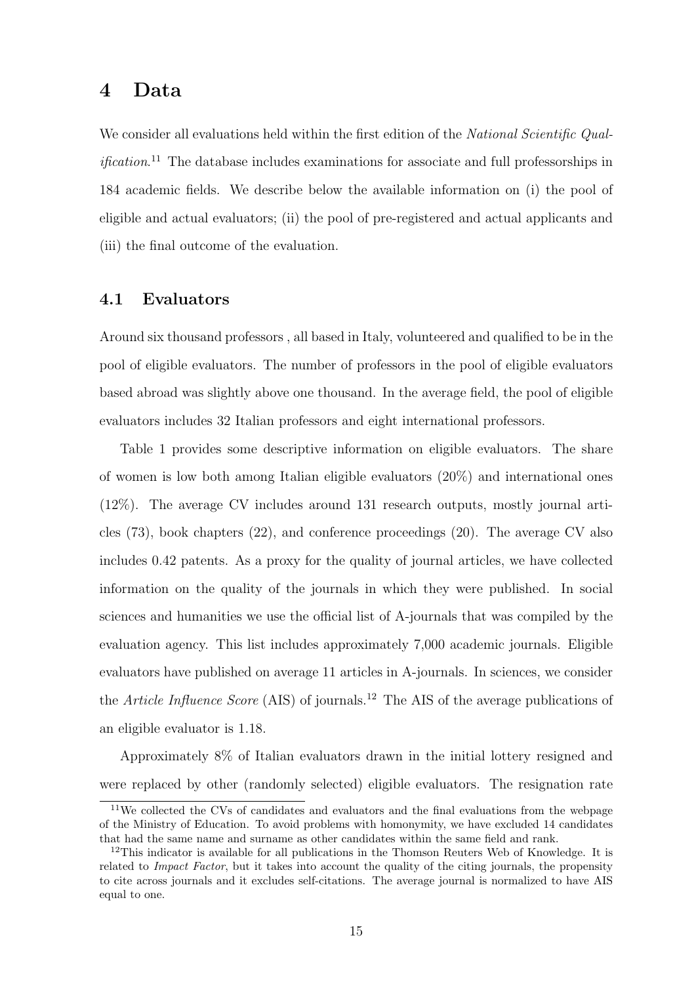### 4 Data

We consider all evaluations held within the first edition of the National Scientific Qual*ification*.<sup>11</sup> The database includes examinations for associate and full professorships in 184 academic fields. We describe below the available information on (i) the pool of eligible and actual evaluators; (ii) the pool of pre-registered and actual applicants and (iii) the final outcome of the evaluation.

#### 4.1 Evaluators

Around six thousand professors , all based in Italy, volunteered and qualified to be in the pool of eligible evaluators. The number of professors in the pool of eligible evaluators based abroad was slightly above one thousand. In the average field, the pool of eligible evaluators includes 32 Italian professors and eight international professors.

Table 1 provides some descriptive information on eligible evaluators. The share of women is low both among Italian eligible evaluators (20%) and international ones (12%). The average CV includes around 131 research outputs, mostly journal articles (73), book chapters (22), and conference proceedings (20). The average CV also includes 0.42 patents. As a proxy for the quality of journal articles, we have collected information on the quality of the journals in which they were published. In social sciences and humanities we use the official list of A-journals that was compiled by the evaluation agency. This list includes approximately 7,000 academic journals. Eligible evaluators have published on average 11 articles in A-journals. In sciences, we consider the Article Influence Score (AIS) of journals.<sup>12</sup> The AIS of the average publications of an eligible evaluator is 1.18.

Approximately 8% of Italian evaluators drawn in the initial lottery resigned and were replaced by other (randomly selected) eligible evaluators. The resignation rate

<sup>&</sup>lt;sup>11</sup>We collected the CVs of candidates and evaluators and the final evaluations from the webpage of the Ministry of Education. To avoid problems with homonymity, we have excluded 14 candidates that had the same name and surname as other candidates within the same field and rank.

 $12$ This indicator is available for all publications in the Thomson Reuters Web of Knowledge. It is related to *Impact Factor*, but it takes into account the quality of the citing journals, the propensity to cite across journals and it excludes self-citations. The average journal is normalized to have AIS equal to one.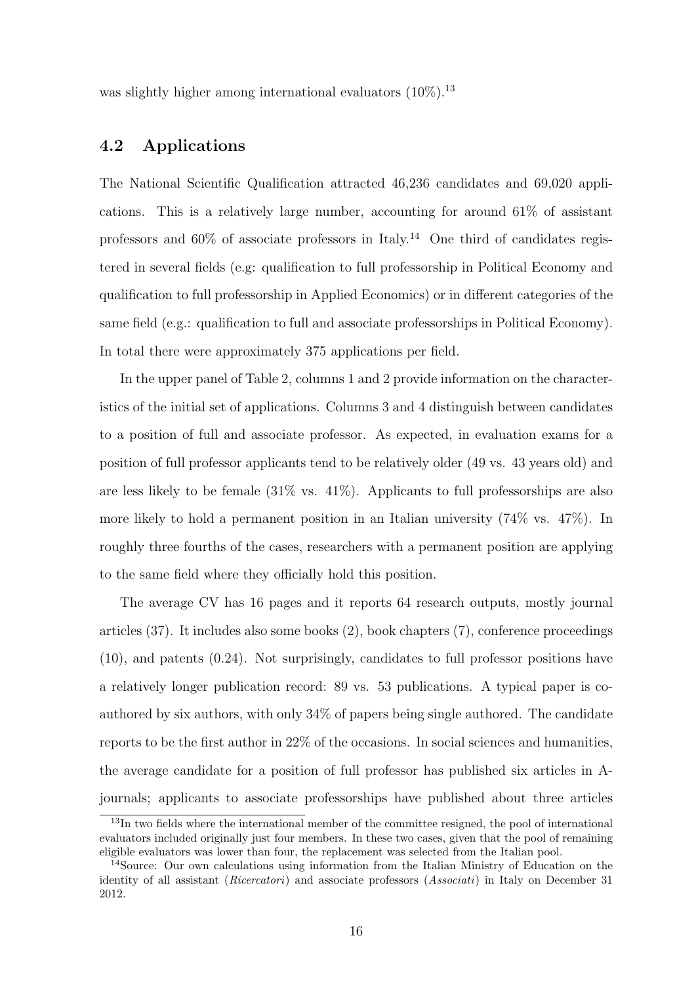was slightly higher among international evaluators  $(10\%)$ .<sup>13</sup>

### 4.2 Applications

The National Scientific Qualification attracted 46,236 candidates and 69,020 applications. This is a relatively large number, accounting for around 61% of assistant professors and  $60\%$  of associate professors in Italy.<sup>14</sup> One third of candidates registered in several fields (e.g: qualification to full professorship in Political Economy and qualification to full professorship in Applied Economics) or in different categories of the same field (e.g.: qualification to full and associate professorships in Political Economy). In total there were approximately 375 applications per field.

In the upper panel of Table 2, columns 1 and 2 provide information on the characteristics of the initial set of applications. Columns 3 and 4 distinguish between candidates to a position of full and associate professor. As expected, in evaluation exams for a position of full professor applicants tend to be relatively older (49 vs. 43 years old) and are less likely to be female  $(31\% \text{ vs. } 41\%)$ . Applicants to full professorships are also more likely to hold a permanent position in an Italian university (74% vs. 47%). In roughly three fourths of the cases, researchers with a permanent position are applying to the same field where they officially hold this position.

The average CV has 16 pages and it reports 64 research outputs, mostly journal articles (37). It includes also some books (2), book chapters (7), conference proceedings (10), and patents (0.24). Not surprisingly, candidates to full professor positions have a relatively longer publication record: 89 vs. 53 publications. A typical paper is coauthored by six authors, with only 34% of papers being single authored. The candidate reports to be the first author in 22% of the occasions. In social sciences and humanities, the average candidate for a position of full professor has published six articles in Ajournals; applicants to associate professorships have published about three articles

<sup>&</sup>lt;sup>13</sup>In two fields where the international member of the committee resigned, the pool of international evaluators included originally just four members. In these two cases, given that the pool of remaining eligible evaluators was lower than four, the replacement was selected from the Italian pool.

<sup>14</sup>Source: Our own calculations using information from the Italian Ministry of Education on the identity of all assistant (Ricercatori) and associate professors (Associati) in Italy on December 31 2012.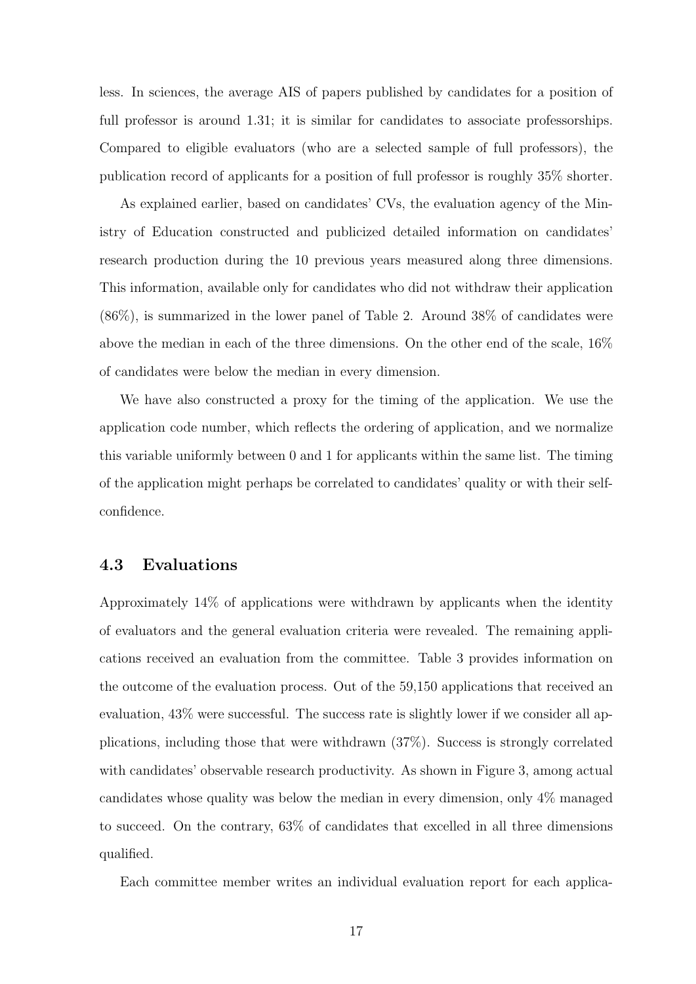less. In sciences, the average AIS of papers published by candidates for a position of full professor is around 1.31; it is similar for candidates to associate professorships. Compared to eligible evaluators (who are a selected sample of full professors), the publication record of applicants for a position of full professor is roughly 35% shorter.

As explained earlier, based on candidates' CVs, the evaluation agency of the Ministry of Education constructed and publicized detailed information on candidates' research production during the 10 previous years measured along three dimensions. This information, available only for candidates who did not withdraw their application (86%), is summarized in the lower panel of Table 2. Around 38% of candidates were above the median in each of the three dimensions. On the other end of the scale, 16% of candidates were below the median in every dimension.

We have also constructed a proxy for the timing of the application. We use the application code number, which reflects the ordering of application, and we normalize this variable uniformly between 0 and 1 for applicants within the same list. The timing of the application might perhaps be correlated to candidates' quality or with their selfconfidence.

#### 4.3 Evaluations

Approximately 14% of applications were withdrawn by applicants when the identity of evaluators and the general evaluation criteria were revealed. The remaining applications received an evaluation from the committee. Table 3 provides information on the outcome of the evaluation process. Out of the 59,150 applications that received an evaluation, 43% were successful. The success rate is slightly lower if we consider all applications, including those that were withdrawn (37%). Success is strongly correlated with candidates' observable research productivity. As shown in Figure 3, among actual candidates whose quality was below the median in every dimension, only 4% managed to succeed. On the contrary, 63% of candidates that excelled in all three dimensions qualified.

Each committee member writes an individual evaluation report for each applica-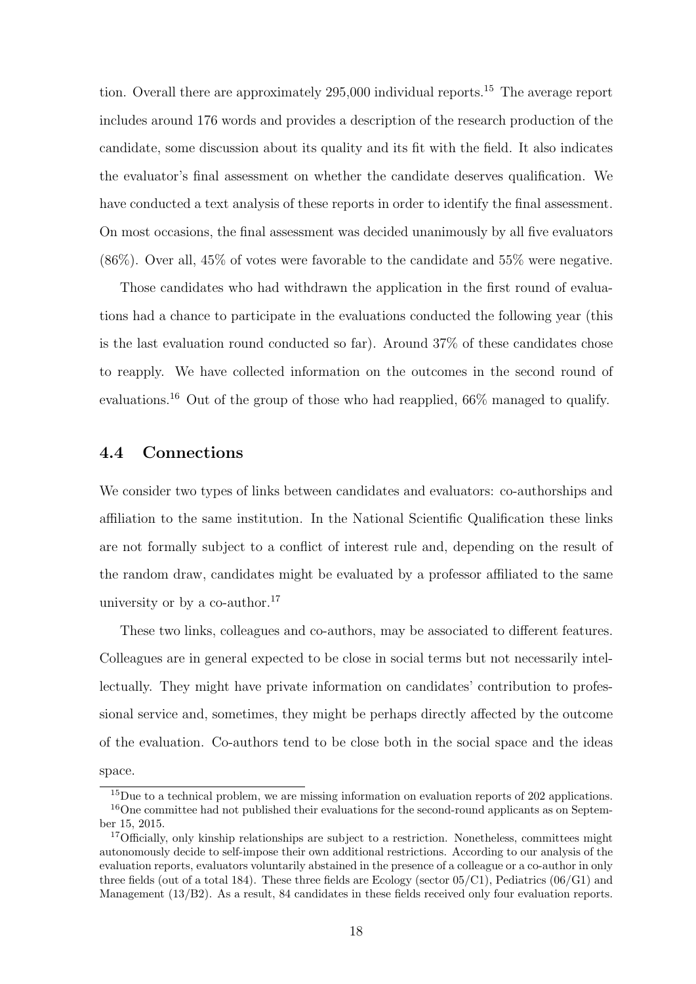tion. Overall there are approximately 295,000 individual reports.<sup>15</sup> The average report includes around 176 words and provides a description of the research production of the candidate, some discussion about its quality and its fit with the field. It also indicates the evaluator's final assessment on whether the candidate deserves qualification. We have conducted a text analysis of these reports in order to identify the final assessment. On most occasions, the final assessment was decided unanimously by all five evaluators (86%). Over all, 45% of votes were favorable to the candidate and 55% were negative.

Those candidates who had withdrawn the application in the first round of evaluations had a chance to participate in the evaluations conducted the following year (this is the last evaluation round conducted so far). Around 37% of these candidates chose to reapply. We have collected information on the outcomes in the second round of evaluations.<sup>16</sup> Out of the group of those who had reapplied, 66% managed to qualify.

#### 4.4 Connections

We consider two types of links between candidates and evaluators: co-authorships and affiliation to the same institution. In the National Scientific Qualification these links are not formally subject to a conflict of interest rule and, depending on the result of the random draw, candidates might be evaluated by a professor affiliated to the same university or by a co-author. $17$ 

These two links, colleagues and co-authors, may be associated to different features. Colleagues are in general expected to be close in social terms but not necessarily intellectually. They might have private information on candidates' contribution to professional service and, sometimes, they might be perhaps directly affected by the outcome of the evaluation. Co-authors tend to be close both in the social space and the ideas space.

<sup>&</sup>lt;sup>15</sup>Due to a technical problem, we are missing information on evaluation reports of 202 applications. <sup>16</sup>One committee had not published their evaluations for the second-round applicants as on September 15, 2015.

<sup>&</sup>lt;sup>17</sup>Officially, only kinship relationships are subject to a restriction. Nonetheless, committees might autonomously decide to self-impose their own additional restrictions. According to our analysis of the evaluation reports, evaluators voluntarily abstained in the presence of a colleague or a co-author in only three fields (out of a total 184). These three fields are Ecology (sector  $05/C1$ ), Pediatrics  $(06/G1)$  and Management (13/B2). As a result, 84 candidates in these fields received only four evaluation reports.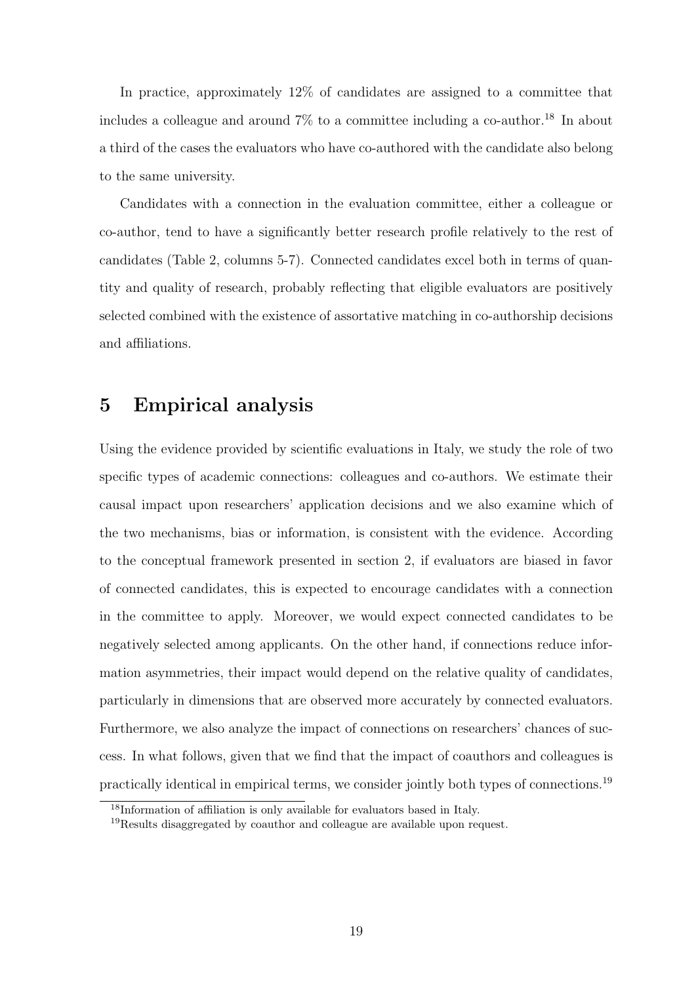In practice, approximately 12% of candidates are assigned to a committee that includes a colleague and around  $7\%$  to a committee including a co-author.<sup>18</sup> In about a third of the cases the evaluators who have co-authored with the candidate also belong to the same university.

Candidates with a connection in the evaluation committee, either a colleague or co-author, tend to have a significantly better research profile relatively to the rest of candidates (Table 2, columns 5-7). Connected candidates excel both in terms of quantity and quality of research, probably reflecting that eligible evaluators are positively selected combined with the existence of assortative matching in co-authorship decisions and affiliations.

### 5 Empirical analysis

Using the evidence provided by scientific evaluations in Italy, we study the role of two specific types of academic connections: colleagues and co-authors. We estimate their causal impact upon researchers' application decisions and we also examine which of the two mechanisms, bias or information, is consistent with the evidence. According to the conceptual framework presented in section 2, if evaluators are biased in favor of connected candidates, this is expected to encourage candidates with a connection in the committee to apply. Moreover, we would expect connected candidates to be negatively selected among applicants. On the other hand, if connections reduce information asymmetries, their impact would depend on the relative quality of candidates, particularly in dimensions that are observed more accurately by connected evaluators. Furthermore, we also analyze the impact of connections on researchers' chances of success. In what follows, given that we find that the impact of coauthors and colleagues is practically identical in empirical terms, we consider jointly both types of connections.<sup>19</sup>

<sup>18</sup>Information of affiliation is only available for evaluators based in Italy.

 $19$ Results disaggregated by coauthor and colleague are available upon request.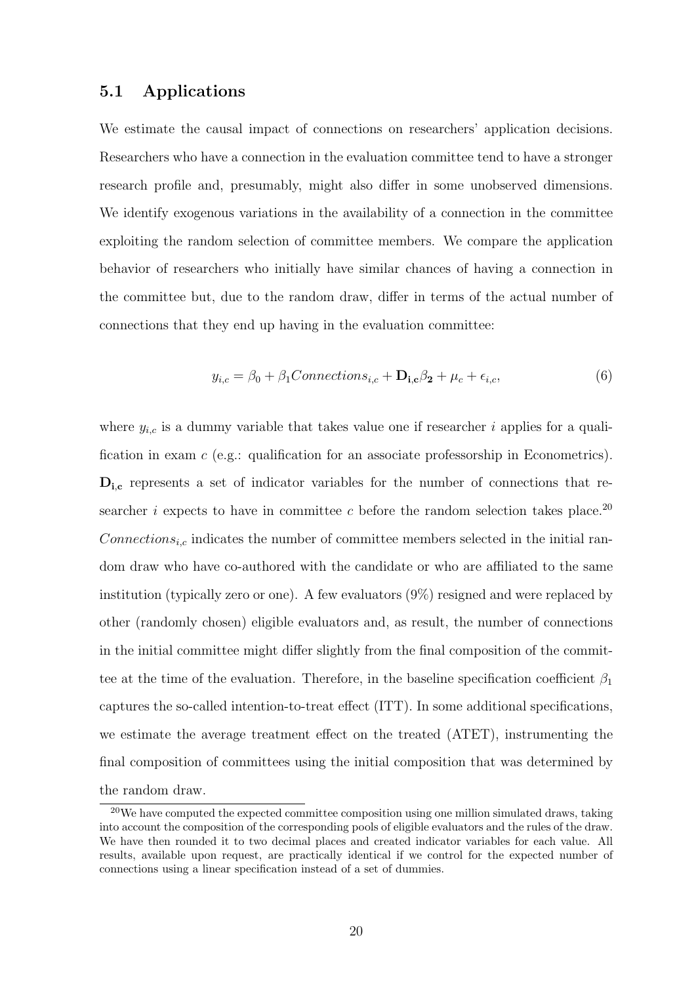#### 5.1 Applications

We estimate the causal impact of connections on researchers' application decisions. Researchers who have a connection in the evaluation committee tend to have a stronger research profile and, presumably, might also differ in some unobserved dimensions. We identify exogenous variations in the availability of a connection in the committee exploiting the random selection of committee members. We compare the application behavior of researchers who initially have similar chances of having a connection in the committee but, due to the random draw, differ in terms of the actual number of connections that they end up having in the evaluation committee:

$$
y_{i,c} = \beta_0 + \beta_1 Connections_{i,c} + \mathbf{D}_{i,c}\beta_2 + \mu_c + \epsilon_{i,c},\tag{6}
$$

where  $y_{i,c}$  is a dummy variable that takes value one if researcher i applies for a qualification in exam c (e.g.: qualification for an associate professorship in Econometrics).  $D_{i,c}$  represents a set of indicator variables for the number of connections that researcher i expects to have in committee c before the random selection takes place.<sup>20</sup>  $Connections_{i,c}$  indicates the number of committee members selected in the initial random draw who have co-authored with the candidate or who are affiliated to the same institution (typically zero or one). A few evaluators (9%) resigned and were replaced by other (randomly chosen) eligible evaluators and, as result, the number of connections in the initial committee might differ slightly from the final composition of the committee at the time of the evaluation. Therefore, in the baseline specification coefficient  $\beta_1$ captures the so-called intention-to-treat effect (ITT). In some additional specifications, we estimate the average treatment effect on the treated (ATET), instrumenting the final composition of committees using the initial composition that was determined by the random draw.

 $20$ We have computed the expected committee composition using one million simulated draws, taking into account the composition of the corresponding pools of eligible evaluators and the rules of the draw. We have then rounded it to two decimal places and created indicator variables for each value. All results, available upon request, are practically identical if we control for the expected number of connections using a linear specification instead of a set of dummies.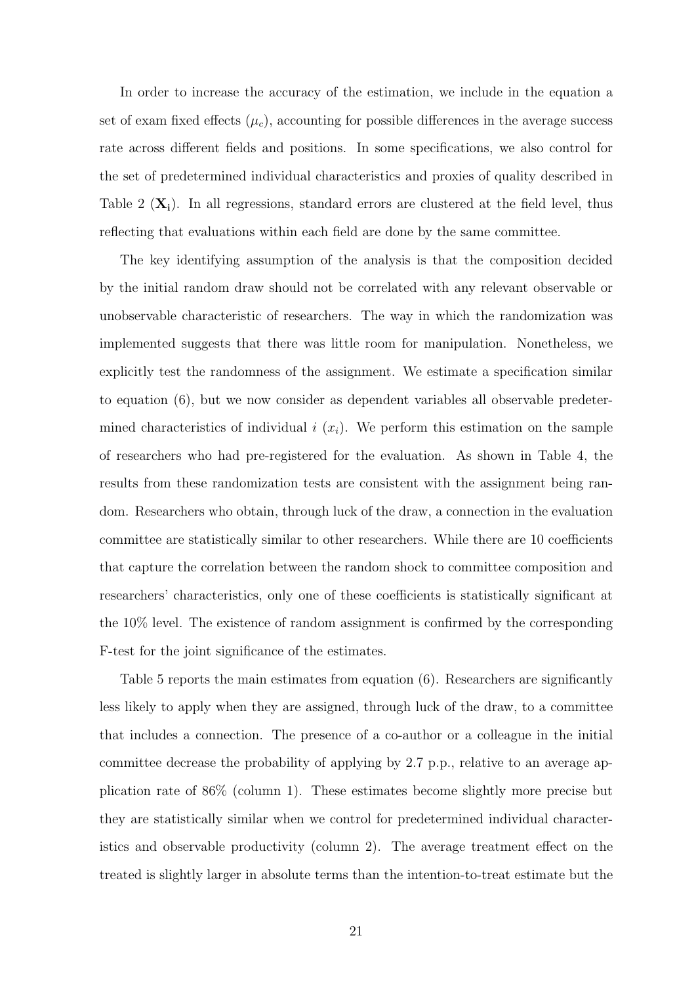In order to increase the accuracy of the estimation, we include in the equation a set of exam fixed effects  $(\mu_c)$ , accounting for possible differences in the average success rate across different fields and positions. In some specifications, we also control for the set of predetermined individual characteristics and proxies of quality described in Table 2  $(X_i)$ . In all regressions, standard errors are clustered at the field level, thus reflecting that evaluations within each field are done by the same committee.

The key identifying assumption of the analysis is that the composition decided by the initial random draw should not be correlated with any relevant observable or unobservable characteristic of researchers. The way in which the randomization was implemented suggests that there was little room for manipulation. Nonetheless, we explicitly test the randomness of the assignment. We estimate a specification similar to equation (6), but we now consider as dependent variables all observable predetermined characteristics of individual  $i(x_i)$ . We perform this estimation on the sample of researchers who had pre-registered for the evaluation. As shown in Table 4, the results from these randomization tests are consistent with the assignment being random. Researchers who obtain, through luck of the draw, a connection in the evaluation committee are statistically similar to other researchers. While there are 10 coefficients that capture the correlation between the random shock to committee composition and researchers' characteristics, only one of these coefficients is statistically significant at the 10% level. The existence of random assignment is confirmed by the corresponding F-test for the joint significance of the estimates.

Table 5 reports the main estimates from equation (6). Researchers are significantly less likely to apply when they are assigned, through luck of the draw, to a committee that includes a connection. The presence of a co-author or a colleague in the initial committee decrease the probability of applying by 2.7 p.p., relative to an average application rate of 86% (column 1). These estimates become slightly more precise but they are statistically similar when we control for predetermined individual characteristics and observable productivity (column 2). The average treatment effect on the treated is slightly larger in absolute terms than the intention-to-treat estimate but the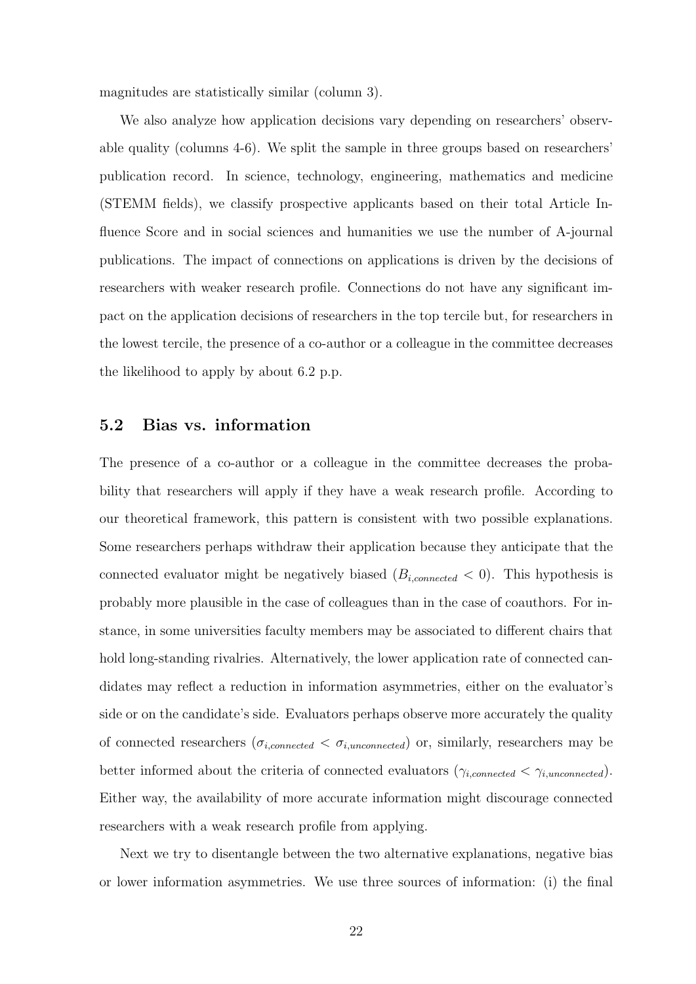magnitudes are statistically similar (column 3).

We also analyze how application decisions vary depending on researchers' observable quality (columns 4-6). We split the sample in three groups based on researchers' publication record. In science, technology, engineering, mathematics and medicine (STEMM fields), we classify prospective applicants based on their total Article Influence Score and in social sciences and humanities we use the number of A-journal publications. The impact of connections on applications is driven by the decisions of researchers with weaker research profile. Connections do not have any significant impact on the application decisions of researchers in the top tercile but, for researchers in the lowest tercile, the presence of a co-author or a colleague in the committee decreases the likelihood to apply by about 6.2 p.p.

#### 5.2 Bias vs. information

The presence of a co-author or a colleague in the committee decreases the probability that researchers will apply if they have a weak research profile. According to our theoretical framework, this pattern is consistent with two possible explanations. Some researchers perhaps withdraw their application because they anticipate that the connected evaluator might be negatively biased  $(B_{i,connected} < 0)$ . This hypothesis is probably more plausible in the case of colleagues than in the case of coauthors. For instance, in some universities faculty members may be associated to different chairs that hold long-standing rivalries. Alternatively, the lower application rate of connected candidates may reflect a reduction in information asymmetries, either on the evaluator's side or on the candidate's side. Evaluators perhaps observe more accurately the quality of connected researchers  $(\sigma_{i,connected} < \sigma_{i,unconnected})$  or, similarly, researchers may be better informed about the criteria of connected evaluators  $(\gamma_{i,connected} < \gamma_{i,unconnected})$ . Either way, the availability of more accurate information might discourage connected researchers with a weak research profile from applying.

Next we try to disentangle between the two alternative explanations, negative bias or lower information asymmetries. We use three sources of information: (i) the final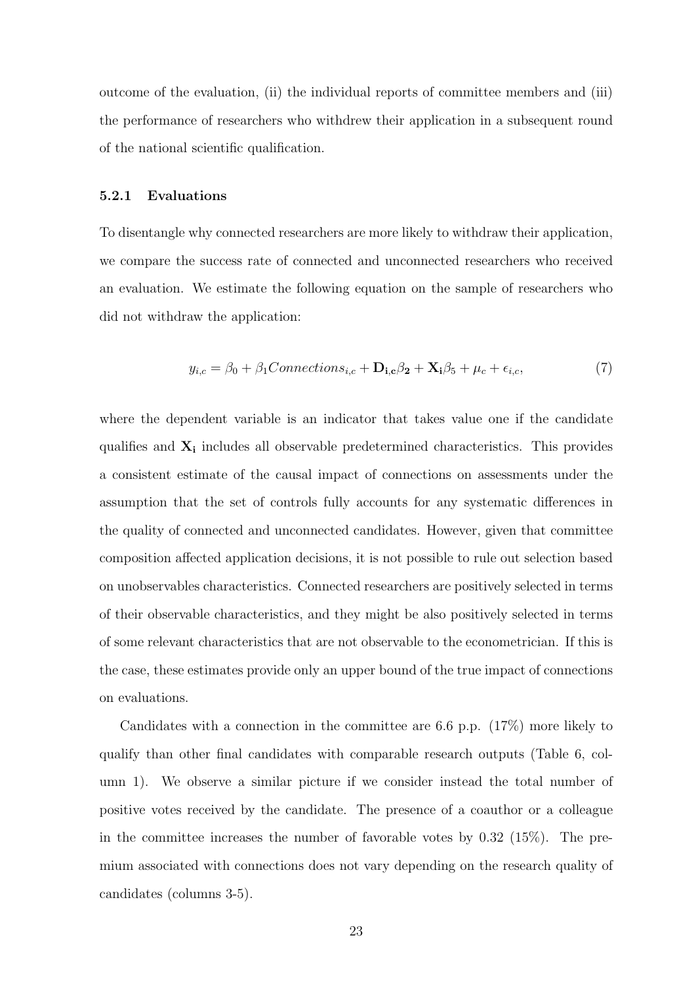outcome of the evaluation, (ii) the individual reports of committee members and (iii) the performance of researchers who withdrew their application in a subsequent round of the national scientific qualification.

#### 5.2.1 Evaluations

To disentangle why connected researchers are more likely to withdraw their application, we compare the success rate of connected and unconnected researchers who received an evaluation. We estimate the following equation on the sample of researchers who did not withdraw the application:

$$
y_{i,c} = \beta_0 + \beta_1 Connections_{i,c} + \mathbf{D_{i,c}}\beta_2 + \mathbf{X_i}\beta_5 + \mu_c + \epsilon_{i,c},\tag{7}
$$

where the dependent variable is an indicator that takes value one if the candidate qualifies and  $X_i$  includes all observable predetermined characteristics. This provides a consistent estimate of the causal impact of connections on assessments under the assumption that the set of controls fully accounts for any systematic differences in the quality of connected and unconnected candidates. However, given that committee composition affected application decisions, it is not possible to rule out selection based on unobservables characteristics. Connected researchers are positively selected in terms of their observable characteristics, and they might be also positively selected in terms of some relevant characteristics that are not observable to the econometrician. If this is the case, these estimates provide only an upper bound of the true impact of connections on evaluations.

Candidates with a connection in the committee are 6.6 p.p. (17%) more likely to qualify than other final candidates with comparable research outputs (Table 6, column 1). We observe a similar picture if we consider instead the total number of positive votes received by the candidate. The presence of a coauthor or a colleague in the committee increases the number of favorable votes by  $0.32$  (15%). The premium associated with connections does not vary depending on the research quality of candidates (columns 3-5).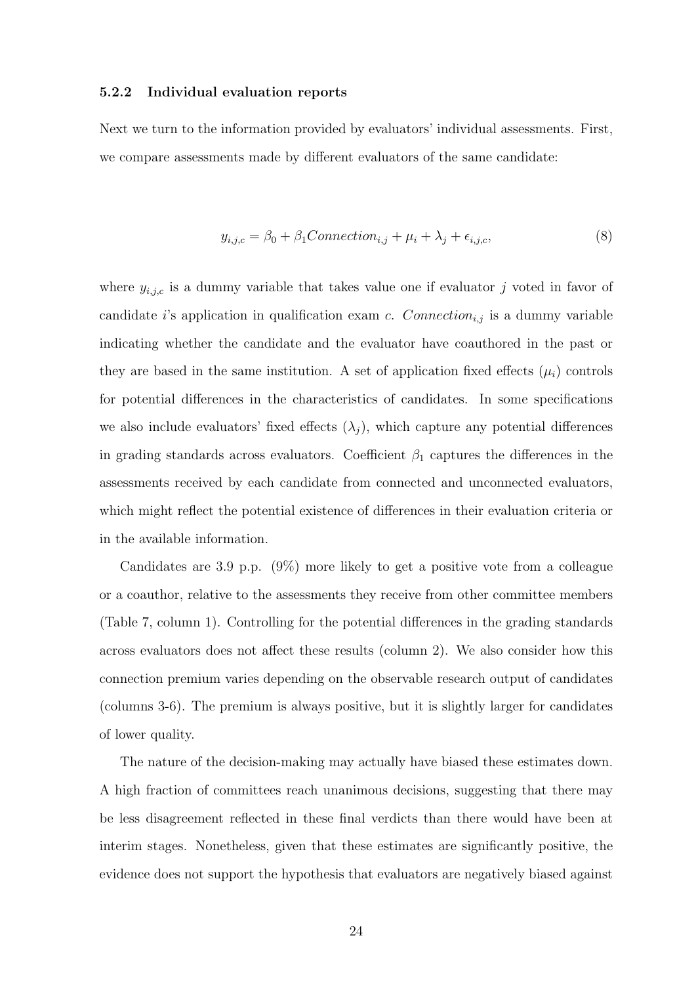#### 5.2.2 Individual evaluation reports

Next we turn to the information provided by evaluators' individual assessments. First, we compare assessments made by different evaluators of the same candidate:

$$
y_{i,j,c} = \beta_0 + \beta_1 Connection_{i,j} + \mu_i + \lambda_j + \epsilon_{i,j,c},\tag{8}
$$

where  $y_{i,j,c}$  is a dummy variable that takes value one if evaluator j voted in favor of candidate *i*'s application in qualification exam *c.* Connection<sub>i,j</sub> is a dummy variable indicating whether the candidate and the evaluator have coauthored in the past or they are based in the same institution. A set of application fixed effects  $(\mu_i)$  controls for potential differences in the characteristics of candidates. In some specifications we also include evaluators' fixed effects  $(\lambda_i)$ , which capture any potential differences in grading standards across evaluators. Coefficient  $\beta_1$  captures the differences in the assessments received by each candidate from connected and unconnected evaluators, which might reflect the potential existence of differences in their evaluation criteria or in the available information.

Candidates are 3.9 p.p. (9%) more likely to get a positive vote from a colleague or a coauthor, relative to the assessments they receive from other committee members (Table 7, column 1). Controlling for the potential differences in the grading standards across evaluators does not affect these results (column 2). We also consider how this connection premium varies depending on the observable research output of candidates (columns 3-6). The premium is always positive, but it is slightly larger for candidates of lower quality.

The nature of the decision-making may actually have biased these estimates down. A high fraction of committees reach unanimous decisions, suggesting that there may be less disagreement reflected in these final verdicts than there would have been at interim stages. Nonetheless, given that these estimates are significantly positive, the evidence does not support the hypothesis that evaluators are negatively biased against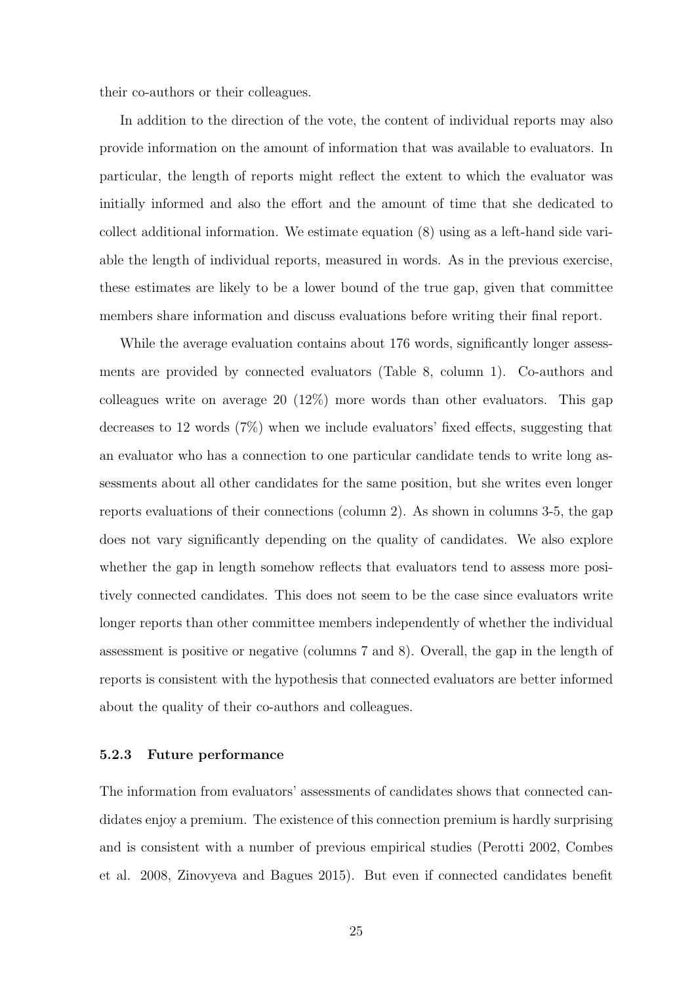their co-authors or their colleagues.

In addition to the direction of the vote, the content of individual reports may also provide information on the amount of information that was available to evaluators. In particular, the length of reports might reflect the extent to which the evaluator was initially informed and also the effort and the amount of time that she dedicated to collect additional information. We estimate equation (8) using as a left-hand side variable the length of individual reports, measured in words. As in the previous exercise, these estimates are likely to be a lower bound of the true gap, given that committee members share information and discuss evaluations before writing their final report.

While the average evaluation contains about 176 words, significantly longer assessments are provided by connected evaluators (Table 8, column 1). Co-authors and colleagues write on average 20  $(12\%)$  more words than other evaluators. This gap decreases to 12 words (7%) when we include evaluators' fixed effects, suggesting that an evaluator who has a connection to one particular candidate tends to write long assessments about all other candidates for the same position, but she writes even longer reports evaluations of their connections (column 2). As shown in columns 3-5, the gap does not vary significantly depending on the quality of candidates. We also explore whether the gap in length somehow reflects that evaluators tend to assess more positively connected candidates. This does not seem to be the case since evaluators write longer reports than other committee members independently of whether the individual assessment is positive or negative (columns 7 and 8). Overall, the gap in the length of reports is consistent with the hypothesis that connected evaluators are better informed about the quality of their co-authors and colleagues.

#### 5.2.3 Future performance

The information from evaluators' assessments of candidates shows that connected candidates enjoy a premium. The existence of this connection premium is hardly surprising and is consistent with a number of previous empirical studies (Perotti 2002, Combes et al. 2008, Zinovyeva and Bagues 2015). But even if connected candidates benefit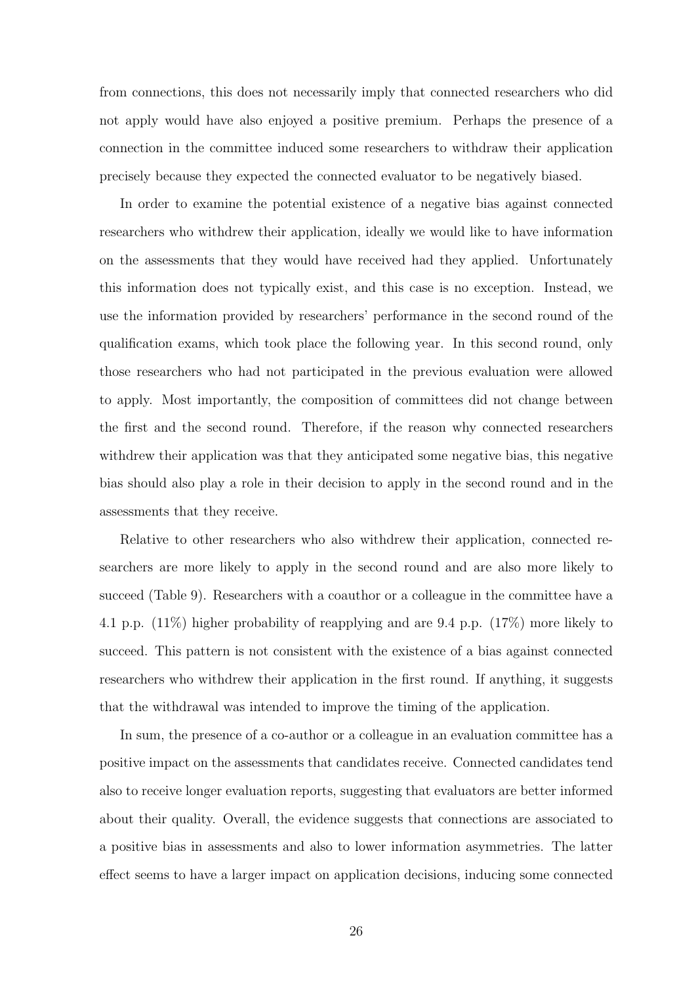from connections, this does not necessarily imply that connected researchers who did not apply would have also enjoyed a positive premium. Perhaps the presence of a connection in the committee induced some researchers to withdraw their application precisely because they expected the connected evaluator to be negatively biased.

In order to examine the potential existence of a negative bias against connected researchers who withdrew their application, ideally we would like to have information on the assessments that they would have received had they applied. Unfortunately this information does not typically exist, and this case is no exception. Instead, we use the information provided by researchers' performance in the second round of the qualification exams, which took place the following year. In this second round, only those researchers who had not participated in the previous evaluation were allowed to apply. Most importantly, the composition of committees did not change between the first and the second round. Therefore, if the reason why connected researchers withdrew their application was that they anticipated some negative bias, this negative bias should also play a role in their decision to apply in the second round and in the assessments that they receive.

Relative to other researchers who also withdrew their application, connected researchers are more likely to apply in the second round and are also more likely to succeed (Table 9). Researchers with a coauthor or a colleague in the committee have a 4.1 p.p. (11%) higher probability of reapplying and are 9.4 p.p. (17%) more likely to succeed. This pattern is not consistent with the existence of a bias against connected researchers who withdrew their application in the first round. If anything, it suggests that the withdrawal was intended to improve the timing of the application.

In sum, the presence of a co-author or a colleague in an evaluation committee has a positive impact on the assessments that candidates receive. Connected candidates tend also to receive longer evaluation reports, suggesting that evaluators are better informed about their quality. Overall, the evidence suggests that connections are associated to a positive bias in assessments and also to lower information asymmetries. The latter effect seems to have a larger impact on application decisions, inducing some connected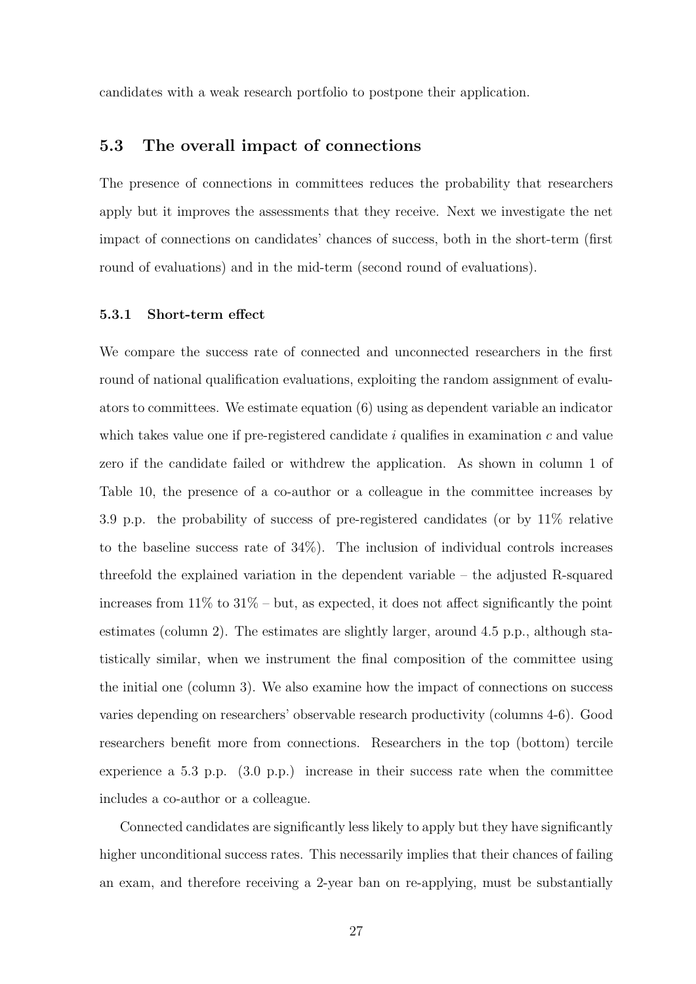candidates with a weak research portfolio to postpone their application.

#### 5.3 The overall impact of connections

The presence of connections in committees reduces the probability that researchers apply but it improves the assessments that they receive. Next we investigate the net impact of connections on candidates' chances of success, both in the short-term (first round of evaluations) and in the mid-term (second round of evaluations).

#### 5.3.1 Short-term effect

We compare the success rate of connected and unconnected researchers in the first round of national qualification evaluations, exploiting the random assignment of evaluators to committees. We estimate equation (6) using as dependent variable an indicator which takes value one if pre-registered candidate  $i$  qualifies in examination  $c$  and value zero if the candidate failed or withdrew the application. As shown in column 1 of Table 10, the presence of a co-author or a colleague in the committee increases by 3.9 p.p. the probability of success of pre-registered candidates (or by 11% relative to the baseline success rate of 34%). The inclusion of individual controls increases threefold the explained variation in the dependent variable – the adjusted R-squared increases from 11% to 31% – but, as expected, it does not affect significantly the point estimates (column 2). The estimates are slightly larger, around 4.5 p.p., although statistically similar, when we instrument the final composition of the committee using the initial one (column 3). We also examine how the impact of connections on success varies depending on researchers' observable research productivity (columns 4-6). Good researchers benefit more from connections. Researchers in the top (bottom) tercile experience a 5.3 p.p. (3.0 p.p.) increase in their success rate when the committee includes a co-author or a colleague.

Connected candidates are significantly less likely to apply but they have significantly higher unconditional success rates. This necessarily implies that their chances of failing an exam, and therefore receiving a 2-year ban on re-applying, must be substantially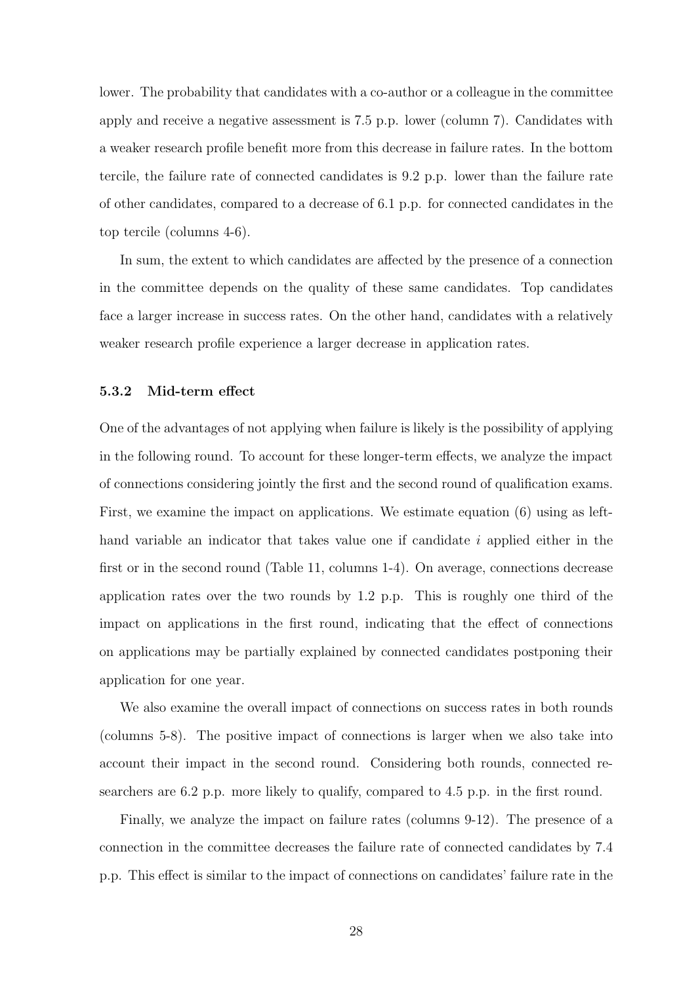lower. The probability that candidates with a co-author or a colleague in the committee apply and receive a negative assessment is 7.5 p.p. lower (column 7). Candidates with a weaker research profile benefit more from this decrease in failure rates. In the bottom tercile, the failure rate of connected candidates is 9.2 p.p. lower than the failure rate of other candidates, compared to a decrease of 6.1 p.p. for connected candidates in the top tercile (columns 4-6).

In sum, the extent to which candidates are affected by the presence of a connection in the committee depends on the quality of these same candidates. Top candidates face a larger increase in success rates. On the other hand, candidates with a relatively weaker research profile experience a larger decrease in application rates.

#### 5.3.2 Mid-term effect

One of the advantages of not applying when failure is likely is the possibility of applying in the following round. To account for these longer-term effects, we analyze the impact of connections considering jointly the first and the second round of qualification exams. First, we examine the impact on applications. We estimate equation (6) using as lefthand variable an indicator that takes value one if candidate  $i$  applied either in the first or in the second round (Table 11, columns 1-4). On average, connections decrease application rates over the two rounds by 1.2 p.p. This is roughly one third of the impact on applications in the first round, indicating that the effect of connections on applications may be partially explained by connected candidates postponing their application for one year.

We also examine the overall impact of connections on success rates in both rounds (columns 5-8). The positive impact of connections is larger when we also take into account their impact in the second round. Considering both rounds, connected researchers are 6.2 p.p. more likely to qualify, compared to 4.5 p.p. in the first round.

Finally, we analyze the impact on failure rates (columns 9-12). The presence of a connection in the committee decreases the failure rate of connected candidates by 7.4 p.p. This effect is similar to the impact of connections on candidates' failure rate in the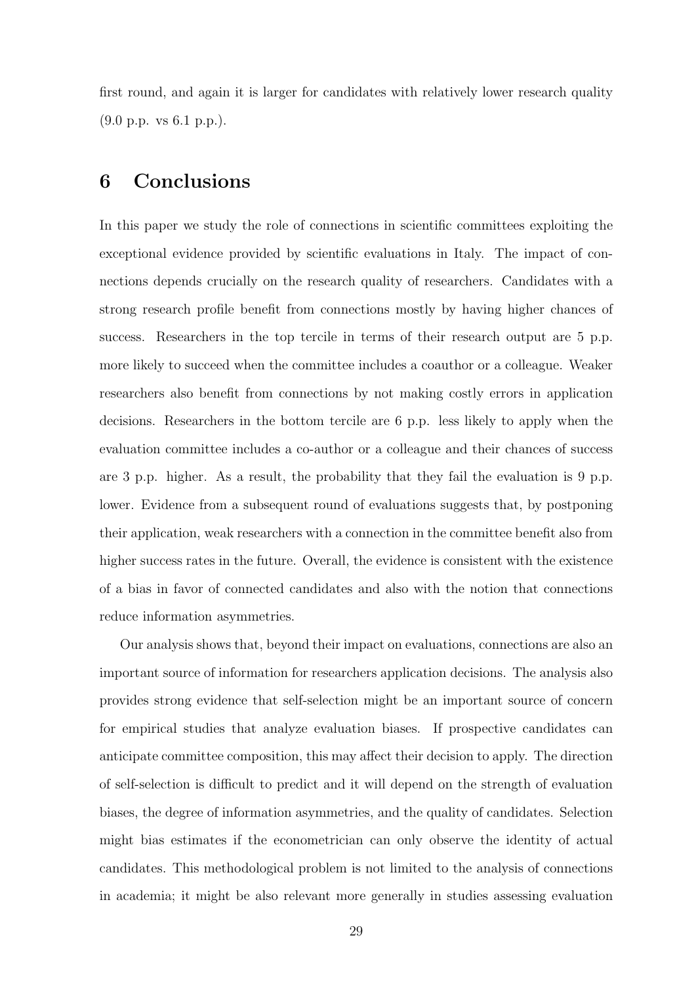first round, and again it is larger for candidates with relatively lower research quality (9.0 p.p. vs 6.1 p.p.).

### 6 Conclusions

In this paper we study the role of connections in scientific committees exploiting the exceptional evidence provided by scientific evaluations in Italy. The impact of connections depends crucially on the research quality of researchers. Candidates with a strong research profile benefit from connections mostly by having higher chances of success. Researchers in the top tercile in terms of their research output are 5 p.p. more likely to succeed when the committee includes a coauthor or a colleague. Weaker researchers also benefit from connections by not making costly errors in application decisions. Researchers in the bottom tercile are 6 p.p. less likely to apply when the evaluation committee includes a co-author or a colleague and their chances of success are 3 p.p. higher. As a result, the probability that they fail the evaluation is 9 p.p. lower. Evidence from a subsequent round of evaluations suggests that, by postponing their application, weak researchers with a connection in the committee benefit also from higher success rates in the future. Overall, the evidence is consistent with the existence of a bias in favor of connected candidates and also with the notion that connections reduce information asymmetries.

Our analysis shows that, beyond their impact on evaluations, connections are also an important source of information for researchers application decisions. The analysis also provides strong evidence that self-selection might be an important source of concern for empirical studies that analyze evaluation biases. If prospective candidates can anticipate committee composition, this may affect their decision to apply. The direction of self-selection is difficult to predict and it will depend on the strength of evaluation biases, the degree of information asymmetries, and the quality of candidates. Selection might bias estimates if the econometrician can only observe the identity of actual candidates. This methodological problem is not limited to the analysis of connections in academia; it might be also relevant more generally in studies assessing evaluation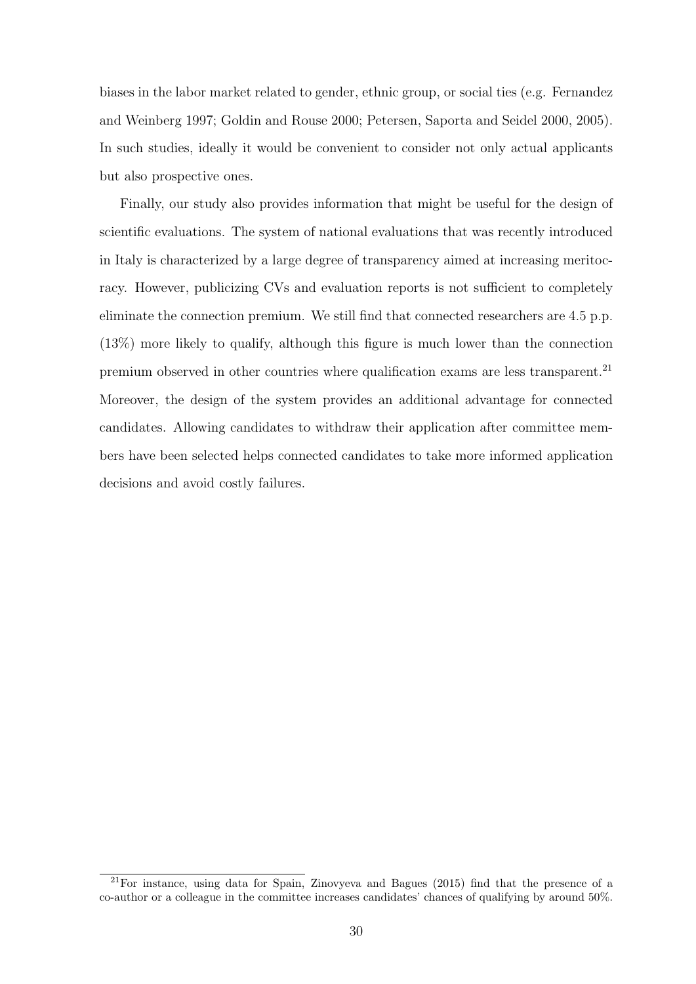biases in the labor market related to gender, ethnic group, or social ties (e.g. Fernandez and Weinberg 1997; Goldin and Rouse 2000; Petersen, Saporta and Seidel 2000, 2005). In such studies, ideally it would be convenient to consider not only actual applicants but also prospective ones.

Finally, our study also provides information that might be useful for the design of scientific evaluations. The system of national evaluations that was recently introduced in Italy is characterized by a large degree of transparency aimed at increasing meritocracy. However, publicizing CVs and evaluation reports is not sufficient to completely eliminate the connection premium. We still find that connected researchers are 4.5 p.p. (13%) more likely to qualify, although this figure is much lower than the connection premium observed in other countries where qualification exams are less transparent.<sup>21</sup> Moreover, the design of the system provides an additional advantage for connected candidates. Allowing candidates to withdraw their application after committee members have been selected helps connected candidates to take more informed application decisions and avoid costly failures.

<sup>21</sup>For instance, using data for Spain, Zinovyeva and Bagues (2015) find that the presence of a co-author or a colleague in the committee increases candidates' chances of qualifying by around 50%.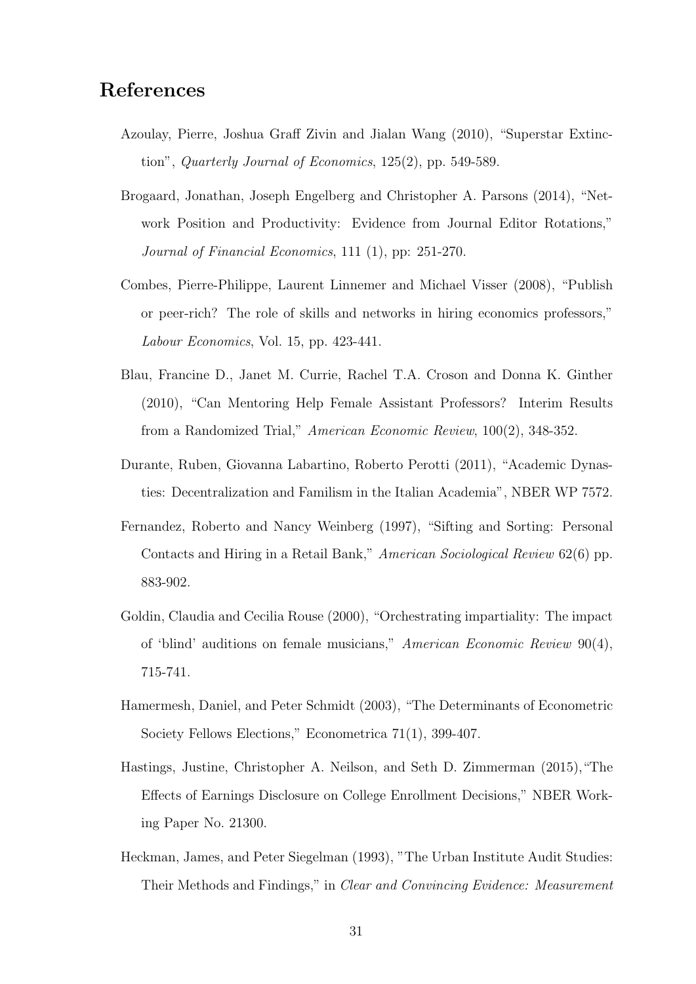### References

- Azoulay, Pierre, Joshua Graff Zivin and Jialan Wang (2010), "Superstar Extinction", Quarterly Journal of Economics, 125(2), pp. 549-589.
- Brogaard, Jonathan, Joseph Engelberg and Christopher A. Parsons (2014), "Network Position and Productivity: Evidence from Journal Editor Rotations," Journal of Financial Economics, 111 (1), pp: 251-270.
- Combes, Pierre-Philippe, Laurent Linnemer and Michael Visser (2008), "Publish or peer-rich? The role of skills and networks in hiring economics professors," Labour Economics, Vol. 15, pp. 423-441.
- Blau, Francine D., Janet M. Currie, Rachel T.A. Croson and Donna K. Ginther (2010), "Can Mentoring Help Female Assistant Professors? Interim Results from a Randomized Trial," American Economic Review, 100(2), 348-352.
- Durante, Ruben, Giovanna Labartino, Roberto Perotti (2011), "Academic Dynasties: Decentralization and Familism in the Italian Academia", NBER WP 7572.
- Fernandez, Roberto and Nancy Weinberg (1997), "Sifting and Sorting: Personal Contacts and Hiring in a Retail Bank," American Sociological Review 62(6) pp. 883-902.
- Goldin, Claudia and Cecilia Rouse (2000), "Orchestrating impartiality: The impact of 'blind' auditions on female musicians," American Economic Review 90(4), 715-741.
- Hamermesh, Daniel, and Peter Schmidt (2003), "The Determinants of Econometric Society Fellows Elections," Econometrica 71(1), 399-407.
- Hastings, Justine, Christopher A. Neilson, and Seth D. Zimmerman (2015),"The Effects of Earnings Disclosure on College Enrollment Decisions," NBER Working Paper No. 21300.
- Heckman, James, and Peter Siegelman (1993), "The Urban Institute Audit Studies: Their Methods and Findings," in Clear and Convincing Evidence: Measurement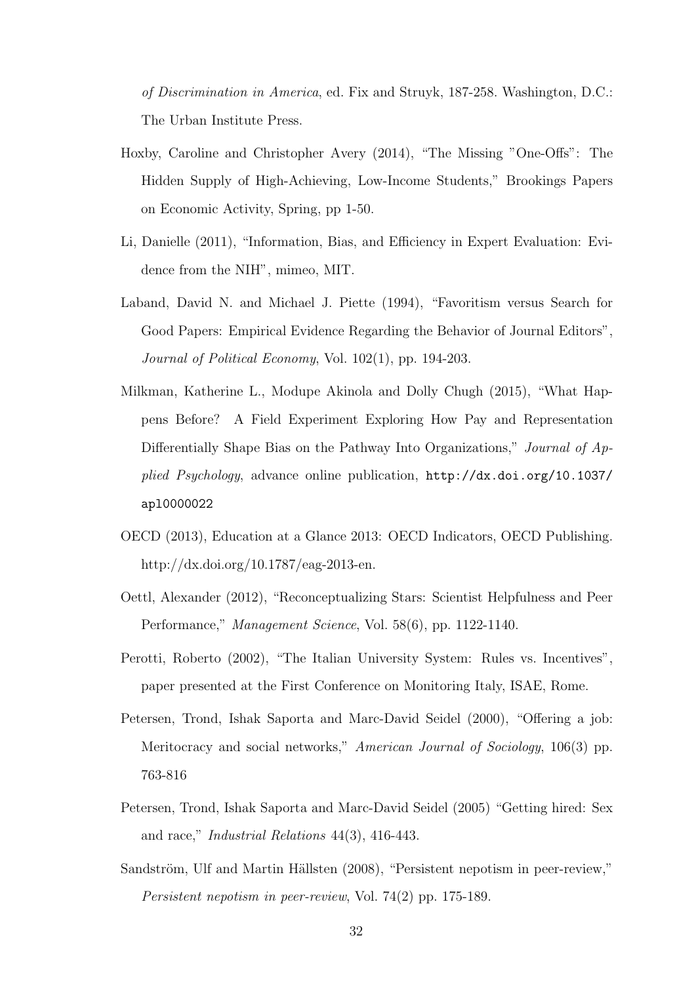of Discrimination in America, ed. Fix and Struyk, 187-258. Washington, D.C.: The Urban Institute Press.

- Hoxby, Caroline and Christopher Avery (2014), "The Missing "One-Offs": The Hidden Supply of High-Achieving, Low-Income Students," Brookings Papers on Economic Activity, Spring, pp 1-50.
- Li, Danielle (2011), "Information, Bias, and Efficiency in Expert Evaluation: Evidence from the NIH", mimeo, MIT.
- Laband, David N. and Michael J. Piette (1994), "Favoritism versus Search for Good Papers: Empirical Evidence Regarding the Behavior of Journal Editors", Journal of Political Economy, Vol. 102(1), pp. 194-203.
- Milkman, Katherine L., Modupe Akinola and Dolly Chugh (2015), "What Happens Before? A Field Experiment Exploring How Pay and Representation Differentially Shape Bias on the Pathway Into Organizations," Journal of Applied Psychology, advance online publication, http://dx.doi.org/10.1037/ apl0000022
- OECD (2013), Education at a Glance 2013: OECD Indicators, OECD Publishing. http://dx.doi.org/10.1787/eag-2013-en.
- Oettl, Alexander (2012), "Reconceptualizing Stars: Scientist Helpfulness and Peer Performance," Management Science, Vol. 58(6), pp. 1122-1140.
- Perotti, Roberto (2002), "The Italian University System: Rules vs. Incentives", paper presented at the First Conference on Monitoring Italy, ISAE, Rome.
- Petersen, Trond, Ishak Saporta and Marc-David Seidel (2000), "Offering a job: Meritocracy and social networks," American Journal of Sociology, 106(3) pp. 763-816
- Petersen, Trond, Ishak Saporta and Marc-David Seidel (2005) "Getting hired: Sex and race," Industrial Relations 44(3), 416-443.
- Sandström, Ulf and Martin Hällsten (2008), "Persistent nepotism in peer-review," Persistent nepotism in peer-review, Vol. 74(2) pp. 175-189.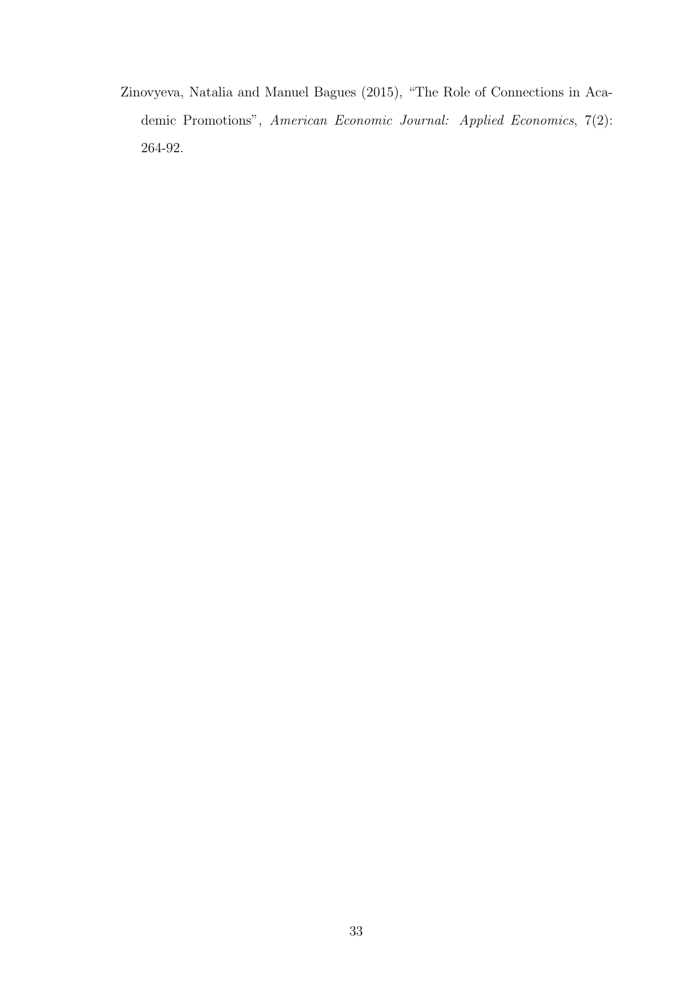Zinovyeva, Natalia and Manuel Bagues (2015), "The Role of Connections in Academic Promotions", American Economic Journal: Applied Economics, 7(2): 264-92.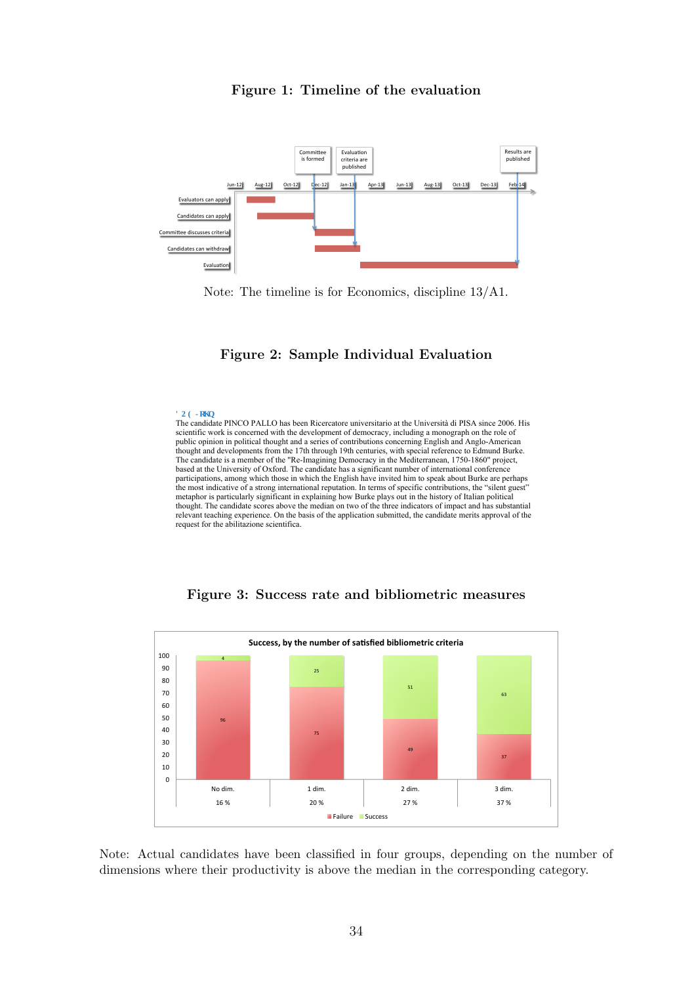



Note: The timeline is for Economics, discipline 13/A1.

#### Figure 2: Sample Individual Evaluation

**F QG Lqj p**<br>The candidate PINCO PALLO has been Ricercatore universitario at the Università di PISA since 2006. His scientific work is concerned with the development of democracy, including a monograph on the role of public opinion in political thought and a series of contributions concerning English and Anglo-American thought and developments from the 17th through 19th centuries, with special reference to Edmund Burke. The candidate is a member of the "Re-Imagining Democracy in the Mediterranean, 1750-1860" project, based at the University of Oxford. The candidate has a significant number of international conference participations, among which those in which the English have invited him to speak about Burke are perhaps the most indicative of a strong international reputation. In terms of specific contributions, the "silent guest" metaphor is particularly significant in explaining how Burke plays out in the history of Italian political thought. The candidate scores above the median on two of the three indicators of impact and has substantial relevant teaching experience. On the basis of the application submitted, the candidate merits approval of the request for the abilitazione scientifica.



Figure 3: Success rate and bibliometric measures

dimensions where their productivity is above the median in the corresponding category. Note: Actual candidates have been classified in four groups, depending on the number of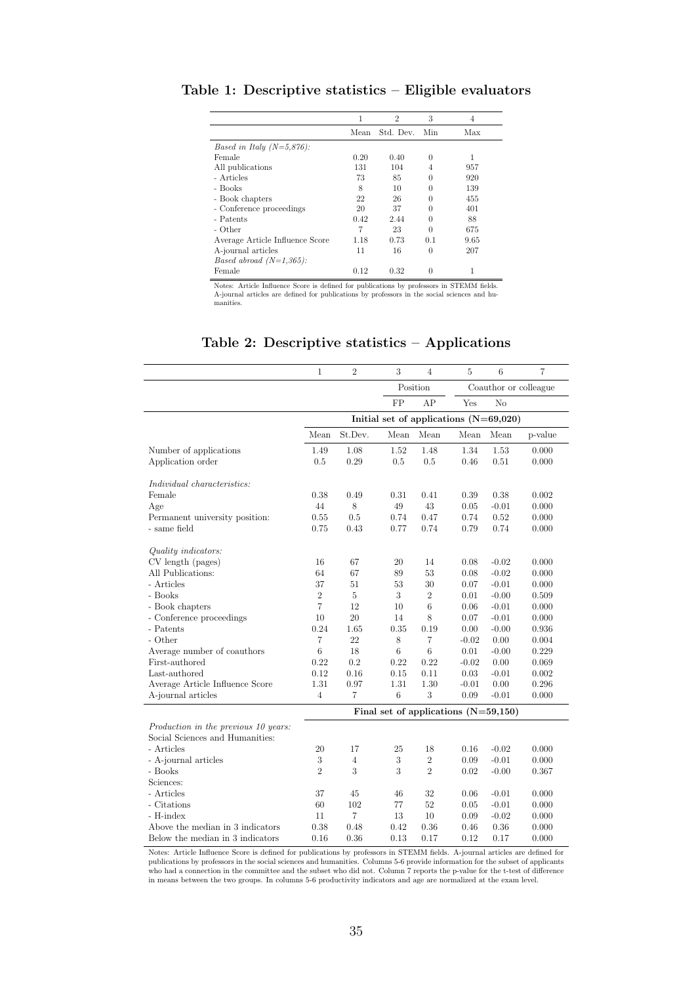|                                 | 1    | $\overline{2}$ | 3        | 4    |
|---------------------------------|------|----------------|----------|------|
|                                 | Mean | Std. Dev. Min  |          | Max  |
| Based in Italy $(N=5,876)$ :    |      |                |          |      |
| Female                          | 0.20 | 0.40           | 0        |      |
| All publications                | 131  | 104            | 4        | 957  |
| - Articles                      | 73   | 85             | 0        | 920  |
| - Books                         | 8    | 10             | 0        | 139  |
| - Book chapters                 | 22   | 26             | $^{(1)}$ | 455  |
| - Conference proceedings        | 20   | 37             | 0        | 401  |
| - Patents                       | 0.42 | 2.44           | 0        | 88   |
| - Other                         | 7    | 23             | 0        | 675  |
| Average Article Influence Score | 1.18 | 0.73           | 0.1      | 9.65 |
| A-journal articles              | 11   | 16             | 0        | 207  |
| Based abroad $(N=1,365)$ :      |      |                |          |      |
| Female                          | 0.12 | 0.32           | $\Omega$ | 1    |

Table 1: Descriptive statistics – Eligible evaluators

Notes: Article Influence Score is defined for publications by professors in STEMM fields. A-journal articles are defined for publications by professors in the social sciences and hu-<br>manities.

|                                             | $\mathbf{1}$   | $\overline{2}$ | 3                                        | $\overline{4}$   | 5       | 6        | $\overline{7}$        |
|---------------------------------------------|----------------|----------------|------------------------------------------|------------------|---------|----------|-----------------------|
|                                             |                |                |                                          | Position         |         |          | Coauthor or colleague |
|                                             |                |                | FP                                       | AP               | Yes     | No       |                       |
|                                             |                |                | Initial set of applications $(N=69,020)$ |                  |         |          |                       |
|                                             | Mean           | St.Dev.        | Mean                                     | Mean             | Mean    | Mean     | p-value               |
|                                             | 1.49           | 1.08           | 1.52                                     | 1.48             | 1.34    | 1.53     | 0.000                 |
| Number of applications<br>Application order | 0.5            | 0.29           | 0.5                                      | 0.5              | 0.46    | $0.51\,$ | 0.000                 |
|                                             |                |                |                                          |                  |         |          |                       |
| Individual characteristics:                 |                |                |                                          |                  |         |          |                       |
| Female                                      | 0.38           | 0.49           | 0.31                                     | 0.41             | 0.39    | 0.38     | 0.002                 |
| Age                                         | 44             | 8              | 49                                       | 43               | 0.05    | $-0.01$  | 0.000                 |
| Permanent university position:              | 0.55           | 0.5            | 0.74                                     | 0.47             | 0.74    | 0.52     | 0.000                 |
| - same field                                | 0.75           | 0.43           | 0.77                                     | 0.74             | 0.79    | 0.74     | 0.000                 |
|                                             |                |                |                                          |                  |         |          |                       |
| Quality indicators:                         |                |                |                                          |                  |         |          |                       |
| CV length (pages)                           | 16             | 67             | 20                                       | 14               | 0.08    | $-0.02$  | 0.000                 |
| All Publications:                           | 64             | 67             | 89                                       | 53               | 0.08    | $-0.02$  | 0.000                 |
| - Articles                                  | 37             | 51             | 53                                       | 30               | 0.07    | $-0.01$  | 0.000                 |
| - Books                                     | $\overline{2}$ | $\overline{5}$ | 3                                        | $\overline{2}$   | 0.01    | $-0.00$  | 0.509                 |
| - Book chapters                             | $\overline{7}$ | 12             | 10                                       | 6                | 0.06    | $-0.01$  | 0.000                 |
| - Conference proceedings                    | 10             | 20             | 14                                       | 8                | 0.07    | $-0.01$  | 0.000                 |
| - Patents                                   | 0.24           | 1.65           | 0.35                                     | 0.19             | 0.00    | $-0.00$  | 0.936                 |
| - Other                                     | 7              | 22             | 8                                        | 7                | $-0.02$ | 0.00     | 0.004                 |
| Average number of coauthors                 | 6              | 18             | $\,6$                                    | $\boldsymbol{6}$ | 0.01    | $-0.00$  | 0.229                 |
| First-authored                              | 0.22           | 0.2            | 0.22                                     | 0.22             | $-0.02$ | 0.00     | 0.069                 |
| Last-authored                               | 0.12           | 0.16           | 0.15                                     | 0.11             | 0.03    | $-0.01$  | 0.002                 |
| Average Article Influence Score             | 1.31           | 0.97           | 1.31                                     | 1.30             | $-0.01$ | 0.00     | 0.296                 |
| A-journal articles                          | 4              | $\overline{7}$ | 6                                        | 3                | 0.09    | $-0.01$  | 0.000                 |
|                                             |                |                | Final set of applications $(N=59,150)$   |                  |         |          |                       |
| Production in the previous 10 years:        |                |                |                                          |                  |         |          |                       |
| Social Sciences and Humanities:             |                |                |                                          |                  |         |          |                       |
| - Articles                                  | 20             | 17             | 25                                       | 18               | 0.16    | $-0.02$  | 0.000                 |
| - A-journal articles                        | 3              | $\overline{4}$ | 3                                        | $\sqrt{2}$       | 0.09    | $-0.01$  | 0.000                 |
| - Books                                     | $\overline{2}$ | 3              | 3                                        | $\overline{2}$   | 0.02    | $-0.00$  | 0.367                 |
| Sciences:                                   |                |                |                                          |                  |         |          |                       |
| - Articles                                  | 37             | 45             | 46                                       | 32               | 0.06    | $-0.01$  | 0.000                 |
| - Citations                                 | 60             | 102            | 77                                       | 52               | 0.05    | $-0.01$  | 0.000                 |
| - H-index                                   | 11             | $\overline{7}$ | 13                                       | 10               | 0.09    | $-0.02$  | 0.000                 |
| Above the median in 3 indicators            | 0.38           | 0.48           | 0.42                                     | 0.36             | 0.46    | 0.36     | 0.000                 |
| Below the median in 3 indicators            | 0.16           | 0.36           | 0.13                                     | 0.17             | 0.12    | 0.17     | 0.000                 |

### Table 2: Descriptive statistics – Applications

Notes: Article Influence Score is defined for publications by professors in STEMM fields. A-journal articles are defined for publications by professors in the social sciences and humanities. Columns 5-6 provide information for the subset of applicants<br>who had a connection in the committee and the subset who did not. Column 7 reports the p-value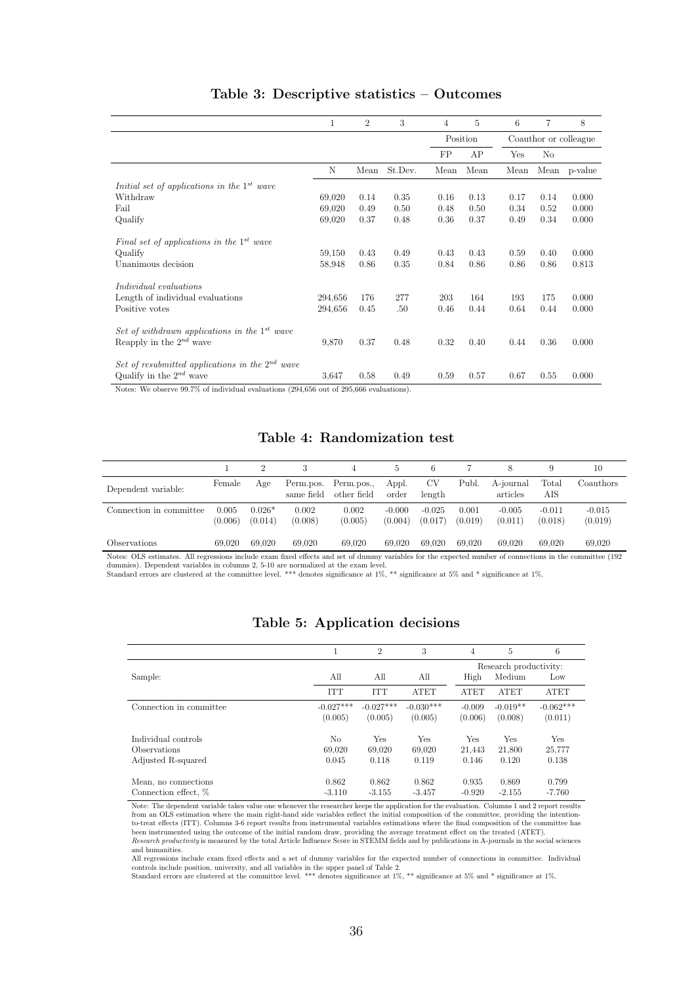|                                                      | 1       | $\overline{2}$ | 3       | 4    | 5        | 6    | 7    | 8                     |
|------------------------------------------------------|---------|----------------|---------|------|----------|------|------|-----------------------|
|                                                      |         |                |         |      | Position |      |      | Coauthor or colleague |
|                                                      |         |                |         | FP   | AP       | Yes  | No   |                       |
|                                                      | N       | Mean           | St.Dev. | Mean | Mean     | Mean | Mean | p-value               |
| Initial set of applications in the $1^{st}$ wave     |         |                |         |      |          |      |      |                       |
| Withdraw                                             | 69,020  | 0.14           | 0.35    | 0.16 | 0.13     | 0.17 | 0.14 | 0.000                 |
| Fail                                                 | 69,020  | 0.49           | 0.50    | 0.48 | 0.50     | 0.34 | 0.52 | 0.000                 |
| Qualify                                              | 69,020  | 0.37           | 0.48    | 0.36 | 0.37     | 0.49 | 0.34 | 0.000                 |
| Final set of applications in the $1^{st}$ wave       |         |                |         |      |          |      |      |                       |
| Qualify                                              | 59,150  | 0.43           | 0.49    | 0.43 | 0.43     | 0.59 | 0.40 | 0.000                 |
| Unanimous decision                                   | 58,948  | 0.86           | 0.35    | 0.84 | 0.86     | 0.86 | 0.86 | 0.813                 |
| Individual evaluations                               |         |                |         |      |          |      |      |                       |
| Length of individual evaluations                     | 294,656 | 176            | 277     | 203  | 164      | 193  | 175  | 0.000                 |
| Positive votes                                       | 294,656 | 0.45           | .50     | 0.46 | 0.44     | 0.64 | 0.44 | 0.000                 |
| Set of withdrawn applications in the $1^{st}$ wave   |         |                |         |      |          |      |      |                       |
| Reapply in the $2^{nd}$ wave                         | 9,870   | 0.37           | 0.48    | 0.32 | 0.40     | 0.44 | 0.36 | 0.000                 |
| Set of resubmitted applications in the $2^{nd}$ wave |         |                |         |      |          |      |      |                       |
| Qualify in the $2^{nd}$ wave                         | 3.647   | 0.58           | 0.49    | 0.59 | 0.57     | 0.67 | 0.55 | 0.000                 |

#### Table 3: Descriptive statistics – Outcomes

Notes: We observe 99.7% of individual evaluations (294,656 out of 295,666 evaluations).

J.

#### Table 4: Randomization test

|                         |                  |                     |                         |                           | Ð.                  | 6                   |                  |                       |                     | 10                  |
|-------------------------|------------------|---------------------|-------------------------|---------------------------|---------------------|---------------------|------------------|-----------------------|---------------------|---------------------|
| Dependent variable:     | Female           | Age                 | Perm.pos.<br>same field | Perm.pos.,<br>other field | Appl.<br>order      | <b>CV</b><br>length | Publ.            | A-journal<br>articles | Total<br>AIS        | Coauthors           |
| Connection in committee | 0.005<br>(0.006) | $0.026*$<br>(0.014) | 0.002<br>(0.008)        | 0.002<br>(0.005)          | $-0.000$<br>(0.004) | $-0.025$<br>(0.017) | 0.001<br>(0.019) | $-0.005$<br>(0.011)   | $-0.011$<br>(0.018) | $-0.015$<br>(0.019) |
| Observations            | 69.020           | 69,020              | 69.020                  | 69,020                    | 69.020              | 69.020              | 69,020           | 69.020                | 69.020              | 69.020              |

Notes: OLS estimates. All regressions include exam fixed effects and set of dummy variables for the expected number of connections in the committee (192 dummies). Dependent variables in columns 2, 5-10 are normalized at th

|                         | T           | $\overline{2}$ | 3           | 4           | 5                      | 6           |
|-------------------------|-------------|----------------|-------------|-------------|------------------------|-------------|
|                         |             |                |             |             | Research productivity: |             |
| Sample:                 | All         | All            | All         | High        | Medium                 | Low         |
|                         | <b>ITT</b>  | <b>TTT</b>     | <b>ATET</b> | <b>ATET</b> | <b>ATET</b>            | <b>ATET</b> |
| Connection in committee | $-0.027***$ | $-0.027***$    | $-0.030***$ | $-0.009$    | $-0.019**$             | $-0.062***$ |
|                         | (0.005)     | (0.005)        | (0.005)     | (0.006)     | (0.008)                | (0.011)     |
| Individual controls     | No          | Yes            | Yes         | Yes         | Yes                    | Yes         |
| <b>Observations</b>     | 69,020      | 69,020         | 69,020      | 21.443      | 21,800                 | 25,777      |
| Adjusted R-squared      | 0.045       | 0.118          | 0.119       | 0.146       | 0.120                  | 0.138       |
| Mean, no connections    | 0.862       | 0.862          | 0.862       | 0.935       | 0.869                  | 0.799       |
| Connection effect, %    | $-3.110$    | $-3.155$       | $-3.457$    | $-0.920$    | $-2.155$               | $-7.760$    |

#### Table 5: Application decisions

Note: The dependent variable takes value one whenever the researcher keeps the application for the evaluation. Columns 1 and 2 report results from an OLS estimation where the main right-hand side variables reflect the init to-treat effects (ITT). Columns 3-6 report results from instrumental variables estimations where the final composition of the committee has<br>been instrumented using the outcome of the initial random draw, providing the aver

and humanities. All regressions include exam fixed effects and a set of dummy variables for the expected number of connections in committee. Individual

controls include position, university, and all variables in the upper panel of Table 2. Standard errors are clustered at the committee level. \*\*\* denotes significance at 1%, \*\* significance at 5% and \* significance at 1%.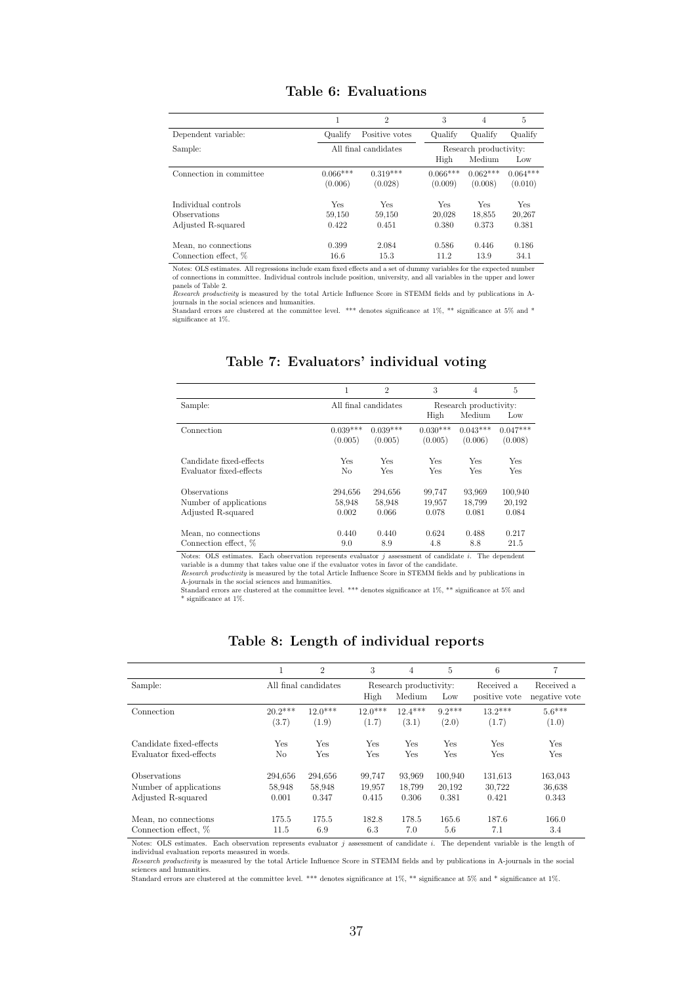|                         |                       | $\overline{2}$        | 3                     | 4                                                                                                    | 5                     |
|-------------------------|-----------------------|-----------------------|-----------------------|------------------------------------------------------------------------------------------------------|-----------------------|
| Dependent variable:     | Qualify               | Positive votes        | Qualify               | Oualify                                                                                              | Qualify               |
| Sample:                 |                       | All final candidates  | High                  | Research productivity:<br>Medium<br>$0.062***$<br>(0.008)<br>Yes<br>18,855<br>0.373<br>0.446<br>13.9 | Low                   |
| Connection in committee | $0.066***$<br>(0.006) | $0.319***$<br>(0.028) | $0.066***$<br>(0.009) |                                                                                                      | $0.064***$<br>(0.010) |
| Individual controls     | Yes                   | Yes                   | Yes                   |                                                                                                      | Yes                   |
| Observations            | 59,150                | 59.150                | 20.028                |                                                                                                      | 20,267                |
| Adjusted R-squared      | 0.422                 | 0.451                 | 0.380                 |                                                                                                      | 0.381                 |
| Mean, no connections    | 0.399                 | 2.084                 | 0.586                 |                                                                                                      | 0.186                 |
| Connection effect, %    | 16.6                  | 15.3                  | 11.2                  |                                                                                                      | 34.1                  |

#### Table 6: Evaluations

Notes: OLS estimates. All regressions include exam fixed effects and a set of dummy variables for the expected number<br>of connections in committee. Individual controls include position, university, and all variables in the

panels of Table 2. Research productivity is measured by the total Article Influence Score in STEMM fields and by publications in A-journals in the social sciences and humanities.

Standard errors are clustered at the committee level. \*\*\* denotes significance at 1%, \*\* significance at 5% and \* significance at 1%.

|                         | 1              | $\overline{2}$       | 3          | $\overline{4}$         | 5          |
|-------------------------|----------------|----------------------|------------|------------------------|------------|
| Sample:                 |                | All final candidates |            | Research productivity: |            |
|                         |                |                      | High       | Medium                 | Low        |
| Connection              | $0.039***$     | $0.039***$           | $0.030***$ | $0.043***$             | $0.047***$ |
|                         | (0.005)        | (0.005)              | (0.005)    | (0.006)                | (0.008)    |
| Candidate fixed-effects | Yes            | Yes                  | Yes        | Yes                    | <b>Yes</b> |
| Evaluator fixed-effects | N <sub>0</sub> | Yes                  | Yes        | <b>Yes</b>             | Yes        |
| <b>Observations</b>     | 294,656        | 294,656              | 99,747     | 93.969                 | 100,940    |
| Number of applications  | 58,948         | 58,948               | 19,957     | 18.799                 | 20,192     |
| Adjusted R-squared      | 0.002          | 0.066                | 0.078      | 0.081                  | 0.084      |
| Mean, no connections    | 0.440          | 0.440                | 0.624      | 0.488                  | 0.217      |
| Connection effect, %    | 9.0            | 8.9                  | 4.8        | 8.8                    | 21.5       |

#### Table 7: Evaluators' individual voting

Notes: OLS estimates. Each observation represents evaluator  $j$  assessment of candidate  $i$ . The dependent variable is a dummy that takes value one if the evaluator votes in favor of the candidate. Research productivity is measured by the total Article Influence Score in STEMM fields and by publications in

A-journals in the social sciences and humanities. Standard errors are clustered at the committee level. \*\*\* denotes significance at 1%, \*\* significance at 5% and \* significance at 1%.

|                         | 1                    | $\overline{2}$ | 3         | 4                      | 5        | 6             | 7             |
|-------------------------|----------------------|----------------|-----------|------------------------|----------|---------------|---------------|
| Sample:                 | All final candidates |                |           | Research productivity: |          | Received a    | Received a    |
|                         |                      |                | High      | Medium                 | Low      | positive vote | negative vote |
| Connection              | $20.2***$            | $12.0***$      | $12.0***$ | $12.4***$              | $9.2***$ | $13.2***$     | $5.6***$      |
|                         | (3.7)                | (1.9)          | (1.7)     | (3.1)                  | (2.0)    | (1.7)         | (1.0)         |
| Candidate fixed-effects | Yes                  | Yes            | Yes       | Yes                    | Yes      | Yes           | Yes           |
| Evaluator fixed-effects | No                   | Yes            | Yes       | Yes                    | Yes      | Yes           | Yes           |
| Observations            | 294.656              | 294.656        | 99.747    | 93.969                 | 100.940  | 131,613       | 163,043       |
| Number of applications  | 58,948               | 58,948         | 19,957    | 18.799                 | 20.192   | 30,722        | 36,638        |
| Adjusted R-squared      | 0.001                | 0.347          | 0.415     | 0.306                  | 0.381    | 0.421         | 0.343         |
| Mean, no connections    | 175.5                | 175.5          | 182.8     | 178.5                  | 165.6    | 187.6         | 166.0         |
| Connection effect, %    | 11.5                 | 6.9            | 6.3       | 7.0                    | 5.6      | 7.1           | 3.4           |

#### Table 8: Length of individual reports

Notes: OLS estimates. Each observation represents evaluator  $j$  assessment of candidate  $i$ . The dependent variable is the length of individual evaluation reports measured in words.

Research productivity is measured by the total Article Influence Score in STEMM fields and by publications in A-journals in the social sciences and humanities.

Standard errors are clustered at the committee level. \*\*\* denotes significance at 1%, \*\* significance at 5% and \* significance at 1%.